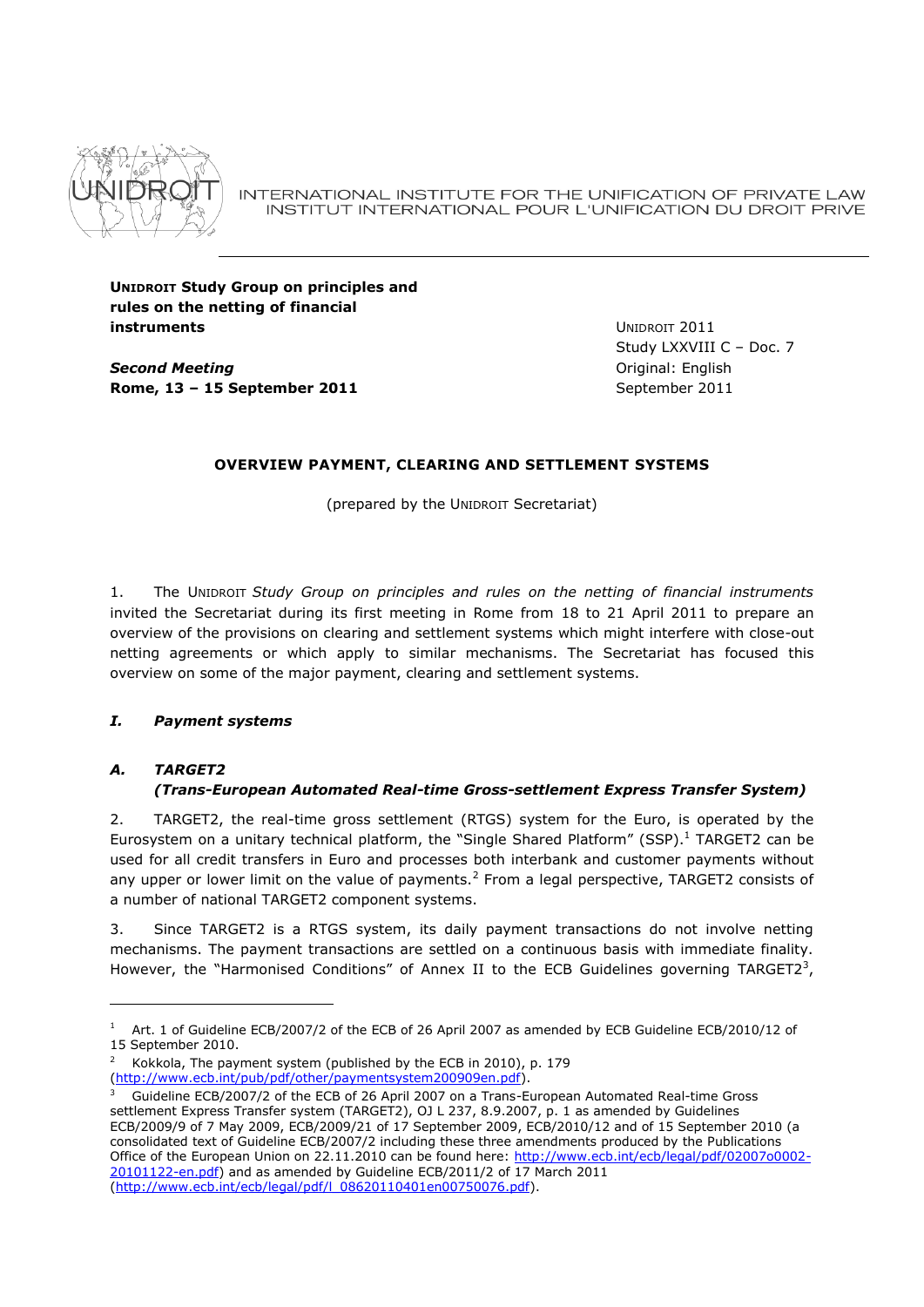

INTERNATIONAL INSTITUTE FOR THE UNIFICATION OF PRIVATE LAW INSTITUT INTERNATIONAL POUR L'UNIFICATION DU DROIT PRIVE

**UNIDROIT Study Group on principles and rules on the netting of financial instruments**

*Second Meeting* **Rome, 13 – 15 September 2011** UNIDROIT 2011 Study LXXVIII C – Doc. 7 Original: English September 2011

# **OVERVIEW PAYMENT, CLEARING AND SETTLEMENT SYSTEMS**

(prepared by the UNIDROIT Secretariat)

1. The UNIDROIT *Study Group on principles and rules on the netting of financial instruments* invited the Secretariat during its first meeting in Rome from 18 to 21 April 2011 to prepare an overview of the provisions on clearing and settlement systems which might interfere with close-out netting agreements or which apply to similar mechanisms. The Secretariat has focused this overview on some of the major payment, clearing and settlement systems.

# *I. Payment systems*

# *A. TARGET2*

# *(Trans-European Automated Real-time Gross-settlement Express Transfer System)*

2. TARGET2, the real-time gross settlement (RTGS) system for the Euro, is operated by the Eurosystem on a unitary technical platform, the "Single Shared Platform" (SSP). <sup>1</sup> TARGET2 can be used for all credit transfers in Euro and processes both interbank and customer payments without any upper or lower limit on the value of payments.<sup>2</sup> From a legal perspective, TARGET2 consists of a number of national TARGET2 component systems.

3. Since TARGET2 is a RTGS system, its daily payment transactions do not involve netting mechanisms. The payment transactions are settled on a continuous basis with immediate finality. However, the "Harmonised Conditions" of Annex II to the ECB Guidelines governing TARGET23,

<sup>1</sup> Art. 1 of Guideline ECB/2007/2 of the ECB of 26 April 2007 as amended by ECB Guideline ECB/2010/12 of 15 September 2010.

<sup>2</sup> Kokkola, The payment system (published by the ECB in 2010), p. 179 [\(http://www.ecb.int/pub/pdf/other/paymentsystem200909en.pdf\)](http://www.ecb.int/pub/pdf/other/paymentsystem200909en.pdf).

<sup>3</sup> Guideline ECB/2007/2 of the ECB of 26 April 2007 on a Trans-European Automated Real-time Gross settlement Express Transfer system (TARGET2), OJ L 237, 8.9.2007, p. 1 as amended by Guidelines ECB/2009/9 of 7 May 2009, ECB/2009/21 of 17 September 2009, ECB/2010/12 and of 15 September 2010 (a consolidated text of Guideline ECB/2007/2 including these three amendments produced by the Publications Office of the European Union on 22.11.2010 can be found here: [http://www.ecb.int/ecb/legal/pdf/02007o0002-](http://www.ecb.int/ecb/legal/pdf/02007o0002-20101122-en.pdf) [20101122-en.pdf\)](http://www.ecb.int/ecb/legal/pdf/02007o0002-20101122-en.pdf) and as amended by Guideline ECB/2011/2 of 17 March 2011 [\(http://www.ecb.int/ecb/legal/pdf/l\\_08620110401en00750076.pdf\)](http://www.ecb.int/ecb/legal/pdf/l_08620110401en00750076.pdf).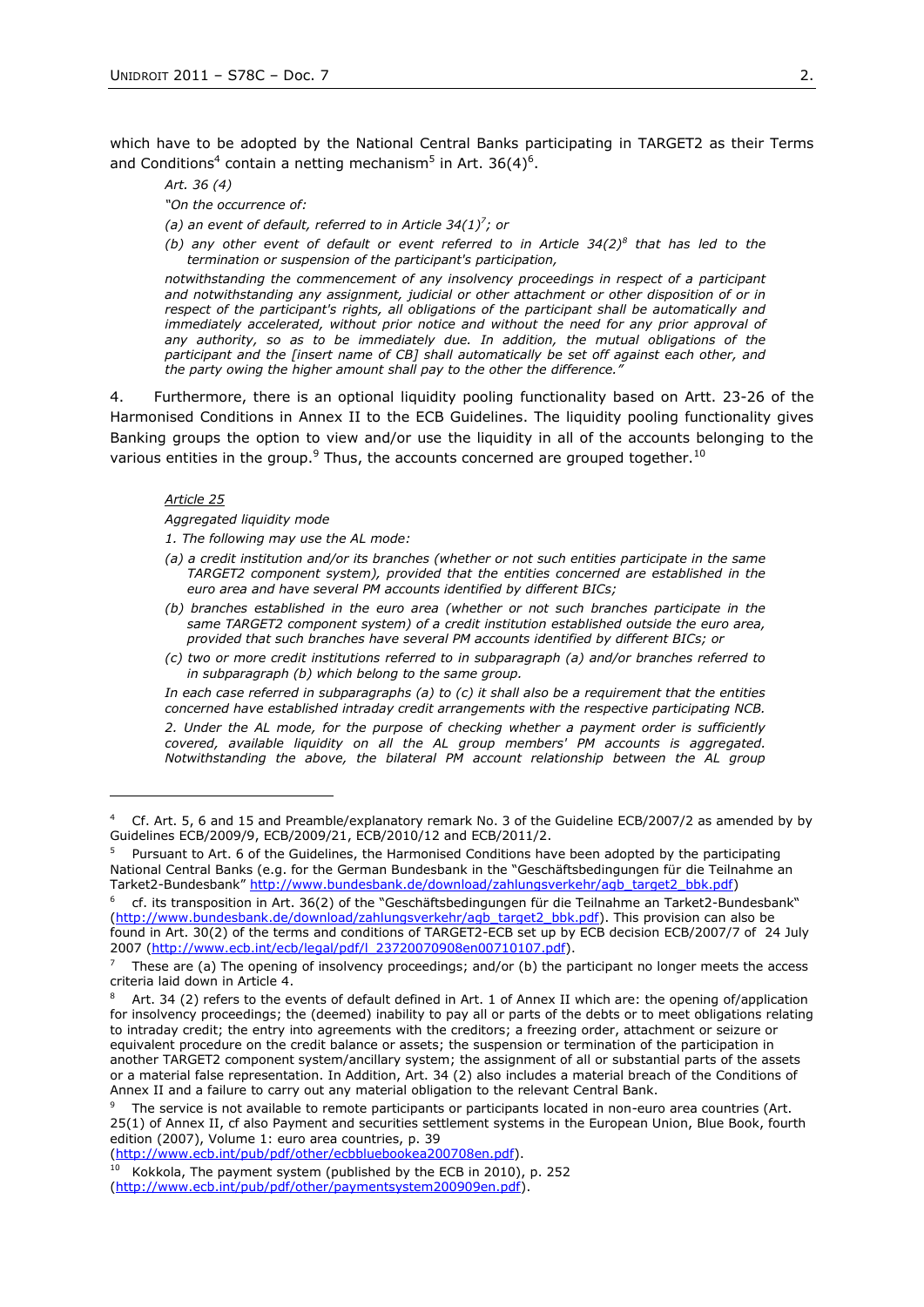which have to be adopted by the National Central Banks participating in TARGET2 as their Terms and Conditions<sup>4</sup> contain a netting mechanism<sup>5</sup> in Art. 36(4)<sup>6</sup>.

*Art. 36 (4)*

*"On the occurrence of:* 

(a) an event of default, referred to in Article  $34(1)^7$ ; or

*(b) any other event of default or event referred to in Article 34(2)<sup>8</sup> that has led to the termination or suspension of the participant's participation,* 

*notwithstanding the commencement of any insolvency proceedings in respect of a participant and notwithstanding any assignment, judicial or other attachment or other disposition of or in respect of the participant's rights, all obligations of the participant shall be automatically and immediately accelerated, without prior notice and without the need for any prior approval of any authority, so as to be immediately due. In addition, the mutual obligations of the participant and the [insert name of CB] shall automatically be set off against each other, and the party owing the higher amount shall pay to the other the difference."*

4. Furthermore, there is an optional liquidity pooling functionality based on Artt. 23-26 of the Harmonised Conditions in Annex II to the ECB Guidelines. The liquidity pooling functionality gives Banking groups the option to view and/or use the liquidity in all of the accounts belonging to the various entities in the group. $9$  Thus, the accounts concerned are grouped together.<sup>10</sup>

#### *Article 25*

1

*Aggregated liquidity mode* 

*1. The following may use the AL mode:* 

- *(a) a credit institution and/or its branches (whether or not such entities participate in the same TARGET2 component system), provided that the entities concerned are established in the euro area and have several PM accounts identified by different BICs;*
- *(b) branches established in the euro area (whether or not such branches participate in the same TARGET2 component system) of a credit institution established outside the euro area, provided that such branches have several PM accounts identified by different BICs; or*
- *(c) two or more credit institutions referred to in subparagraph (a) and/or branches referred to in subparagraph (b) which belong to the same group.*

*In each case referred in subparagraphs (a) to (c) it shall also be a requirement that the entities concerned have established intraday credit arrangements with the respective participating NCB.* 

*2. Under the AL mode, for the purpose of checking whether a payment order is sufficiently covered, available liquidity on all the AL group members' PM accounts is aggregated. Notwithstanding the above, the bilateral PM account relationship between the AL group* 

<sup>4</sup> Cf. Art. 5, 6 and 15 and Preamble/explanatory remark No. 3 of the Guideline ECB/2007/2 as amended by by Guidelines ECB/2009/9, ECB/2009/21, ECB/2010/12 and ECB/2011/2.

<sup>5</sup> Pursuant to Art. 6 of the Guidelines, the Harmonised Conditions have been adopted by the participating National Central Banks (e.g. for the German Bundesbank in the "Geschäftsbedingungen für die Teilnahme an Tarket2-Bundesbank" [http://www.bundesbank.de/download/zahlungsverkehr/agb\\_target2\\_bbk.pdf\)](http://www.bundesbank.de/download/zahlungsverkehr/agb_target2_bbk.pdf)

<sup>6</sup> cf. its transposition in Art. 36(2) of the "Geschäftsbedingungen für die Teilnahme an Tarket2-Bundesbank" [\(http://www.bundesbank.de/download/zahlungsverkehr/agb\\_target2\\_bbk.pdf\)](http://www.bundesbank.de/download/zahlungsverkehr/agb_target2_bbk.pdf). This provision can also be found in Art. 30(2) of the terms and conditions of TARGET2-ECB set up by ECB decision ECB/2007/7 of 24 July 2007 [\(http://www.ecb.int/ecb/legal/pdf/l\\_23720070908en00710107.pdf\)](http://www.ecb.int/ecb/legal/pdf/l_23720070908en00710107.pdf).

These are (a) The opening of insolvency proceedings; and/or (b) the participant no longer meets the access criteria laid down in Article 4.

Art. 34 (2) refers to the events of default defined in Art. 1 of Annex II which are: the opening of/application for insolvency proceedings; the (deemed) inability to pay all or parts of the debts or to meet obligations relating to intraday credit; the entry into agreements with the creditors; a freezing order, attachment or seizure or equivalent procedure on the credit balance or assets; the suspension or termination of the participation in another TARGET2 component system/ancillary system; the assignment of all or substantial parts of the assets or a material false representation. In Addition, Art. 34 (2) also includes a material breach of the Conditions of Annex II and a failure to carry out any material obligation to the relevant Central Bank.

The service is not available to remote participants or participants located in non-euro area countries (Art. 25(1) of Annex II, cf also Payment and securities settlement systems in the European Union, Blue Book, fourth edition (2007), Volume 1: euro area countries, p. 39

[<sup>\(</sup>http://www.ecb.int/pub/pdf/other/ecbbluebookea200708en.pdf\)](http://www.ecb.int/pub/pdf/other/ecbbluebookea200708en.pdf).

 $10$  Kokkola, The payment system (published by the ECB in 2010), p. 252 [\(http://www.ecb.int/pub/pdf/other/paymentsystem200909en.pdf\)](http://www.ecb.int/pub/pdf/other/paymentsystem200909en.pdf).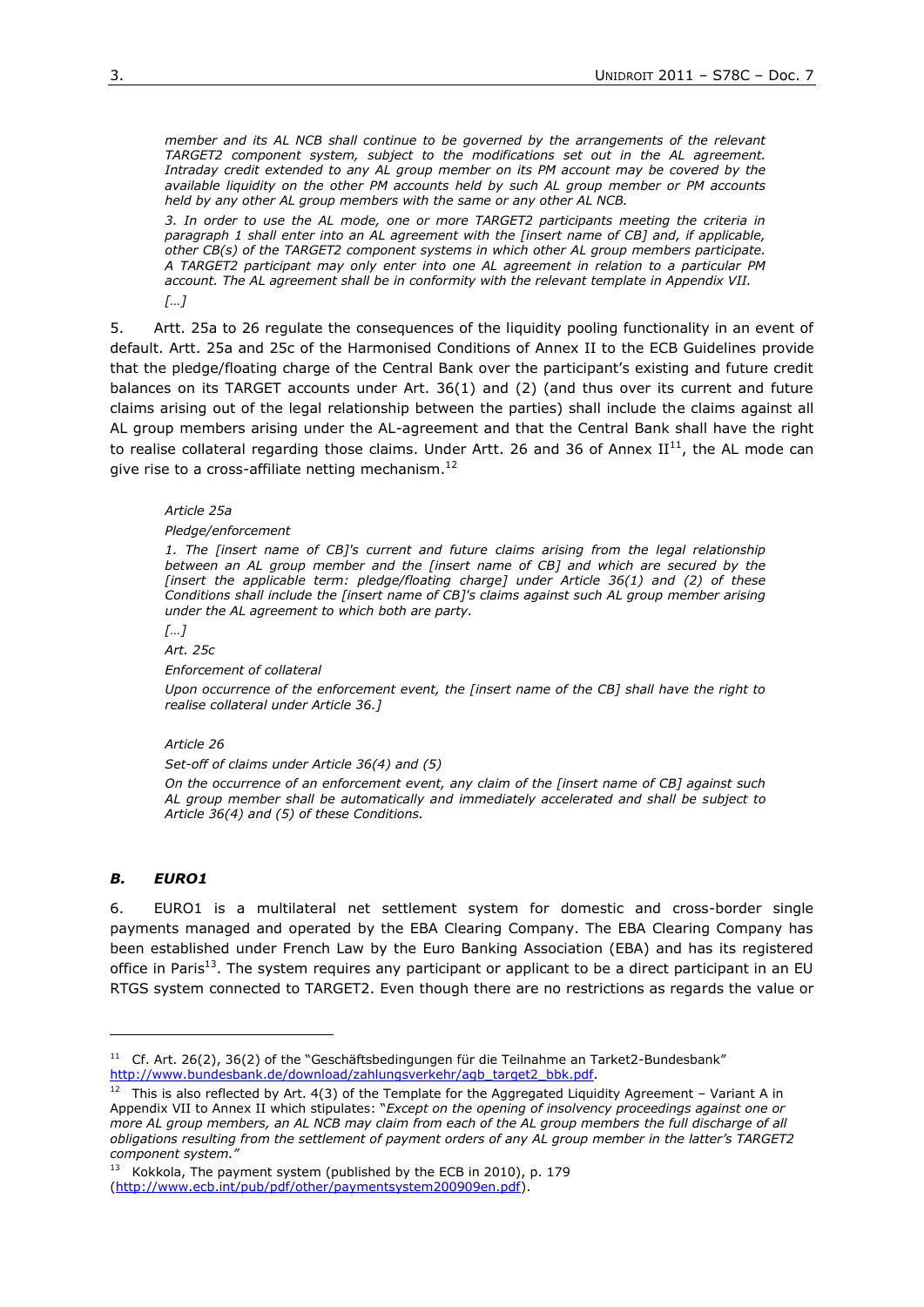*member and its AL NCB shall continue to be governed by the arrangements of the relevant TARGET2 component system, subject to the modifications set out in the AL agreement. Intraday credit extended to any AL group member on its PM account may be covered by the available liquidity on the other PM accounts held by such AL group member or PM accounts held by any other AL group members with the same or any other AL NCB.* 

*3. In order to use the AL mode, one or more TARGET2 participants meeting the criteria in paragraph 1 shall enter into an AL agreement with the [insert name of CB] and, if applicable, other CB(s) of the TARGET2 component systems in which other AL group members participate. A TARGET2 participant may only enter into one AL agreement in relation to a particular PM account. The AL agreement shall be in conformity with the relevant template in Appendix VII. […]*

5. Artt. 25a to 26 regulate the consequences of the liquidity pooling functionality in an event of default. Artt. 25a and 25c of the Harmonised Conditions of Annex II to the ECB Guidelines provide that the pledge/floating charge of the Central Bank over the participant's existing and future credit balances on its TARGET accounts under Art. 36(1) and (2) (and thus over its current and future claims arising out of the legal relationship between the parties) shall include the claims against all AL group members arising under the AL-agreement and that the Central Bank shall have the right to realise collateral regarding those claims. Under Artt. 26 and 36 of Annex  $II^{11}$ , the AL mode can give rise to a cross-affiliate netting mechanism.<sup>12</sup>

#### *Article 25a*

## *Pledge/enforcement*

*1. The [insert name of CB]'s current and future claims arising from the legal relationship between an AL group member and the [insert name of CB] and which are secured by the [insert the applicable term: pledge/floating charge] under Article 36(1) and (2) of these Conditions shall include the [insert name of CB]'s claims against such AL group member arising under the AL agreement to which both are party.* 

*[…]*

*Art. 25c*

*Enforcement of collateral*

*Upon occurrence of the enforcement event, the [insert name of the CB] shall have the right to realise collateral under Article 36.]*

### *Article 26*

*Set-off of claims under Article 36(4) and (5)* 

*On the occurrence of an enforcement event, any claim of the [insert name of CB] against such AL group member shall be automatically and immediately accelerated and shall be subject to Article 36(4) and (5) of these Conditions.* 

## *B. EURO1*

6. EURO1 is a multilateral net settlement system for domestic and cross-border single payments managed and operated by the EBA Clearing Company. The EBA Clearing Company has been established under French Law by the Euro Banking Association (EBA) and has its registered office in Paris<sup>13</sup>. The system requires any participant or applicant to be a direct participant in an EU RTGS system connected to TARGET2. Even though there are no restrictions as regards the value or

<sup>&</sup>lt;sup>11</sup> Cf. Art. 26(2), 36(2) of the "Geschäftsbedingungen für die Teilnahme an Tarket2-Bundesbank" [http://www.bundesbank.de/download/zahlungsverkehr/agb\\_target2\\_bbk.pdf.](http://www.bundesbank.de/download/zahlungsverkehr/agb_target2_bbk.pdf)

<sup>&</sup>lt;sup>12</sup> This is also reflected by Art.  $4(3)$  of the Template for the Aggregated Liquidity Agreement – Variant A in Appendix VII to Annex II which stipulates: "*Except on the opening of insolvency proceedings against one or more AL group members, an AL NCB may claim from each of the AL group members the full discharge of all obligations resulting from the settlement of payment orders of any AL group member in the latter's TARGET2 component system."*

<sup>&</sup>lt;sup>13</sup> Kokkola, The payment system (published by the ECB in 2010), p. 179 [\(http://www.ecb.int/pub/pdf/other/paymentsystem200909en.pdf\)](http://www.ecb.int/pub/pdf/other/paymentsystem200909en.pdf).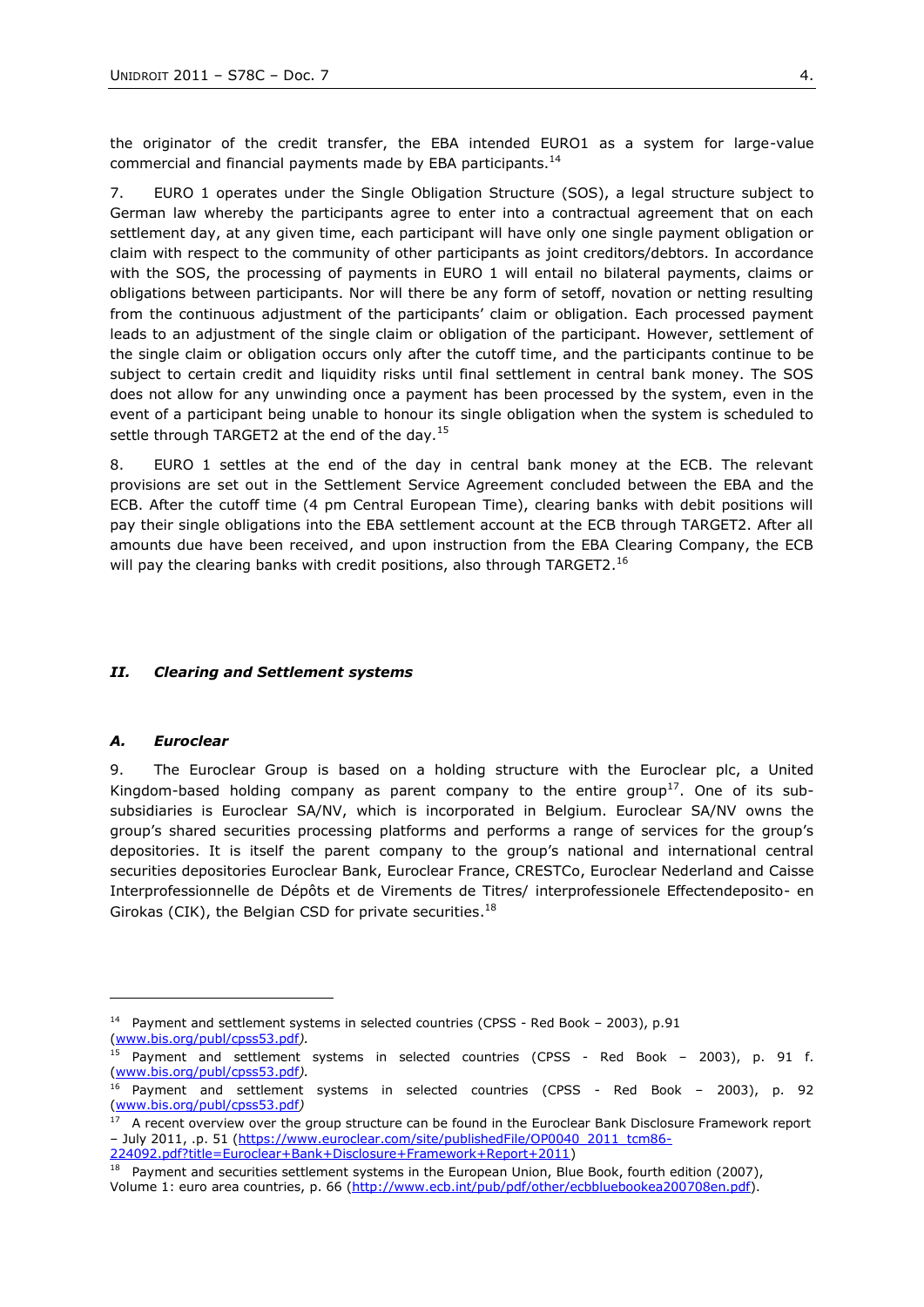the originator of the credit transfer, the EBA intended EURO1 as a system for large-value commercial and financial payments made by EBA participants.<sup>14</sup>

7. EURO 1 operates under the Single Obligation Structure (SOS), a legal structure subject to German law whereby the participants agree to enter into a contractual agreement that on each settlement day, at any given time, each participant will have only one single payment obligation or claim with respect to the community of other participants as joint creditors/debtors. In accordance with the SOS, the processing of payments in EURO 1 will entail no bilateral payments, claims or obligations between participants. Nor will there be any form of setoff, novation or netting resulting from the continuous adjustment of the participants' claim or obligation. Each processed payment leads to an adjustment of the single claim or obligation of the participant. However, settlement of the single claim or obligation occurs only after the cutoff time, and the participants continue to be subject to certain credit and liquidity risks until final settlement in central bank money. The SOS does not allow for any unwinding once a payment has been processed by the system, even in the event of a participant being unable to honour its single obligation when the system is scheduled to settle through TARGET2 at the end of the day.<sup>15</sup>

8. EURO 1 settles at the end of the day in central bank money at the ECB. The relevant provisions are set out in the Settlement Service Agreement concluded between the EBA and the ECB. After the cutoff time (4 pm Central European Time), clearing banks with debit positions will pay their single obligations into the EBA settlement account at the ECB through TARGET2. After all amounts due have been received, and upon instruction from the EBA Clearing Company, the ECB will pay the clearing banks with credit positions, also through TARGET2.<sup>16</sup>

## *II. Clearing and Settlement systems*

## *A. Euroclear*

-

9. The Euroclear Group is based on a holding structure with the Euroclear plc, a United Kingdom-based holding company as parent company to the entire group<sup>17</sup>. One of its subsubsidiaries is Euroclear SA/NV, which is incorporated in Belgium. Euroclear SA/NV owns the group's shared securities processing platforms and performs a range of services for the group's depositories. It is itself the parent company to the group's national and international central securities depositories Euroclear Bank, Euroclear France, CRESTCo, Euroclear Nederland and Caisse Interprofessionnelle de Dépôts et de Virements de Titres/ interprofessionele Effectendeposito- en Girokas (CIK), the Belgian CSD for private securities.<sup>18</sup>

<sup>&</sup>lt;sup>14</sup> Payment and settlement systems in selected countries (CPSS - Red Book – 2003), p.91 [\(www.bis.org/publ/cpss53.pdf](http://www.bis.org/publ/cpss53.pdf)*).*

<sup>&</sup>lt;sup>15</sup> Payment and settlement systems in selected countries (CPSS - Red Book – 2003), p. 91 f. [\(www.bis.org/publ/cpss53.pdf](http://www.bis.org/publ/cpss53.pdf)*).*

<sup>16</sup> Payment and settlement systems in selected countries (CPSS - Red Book – 2003), p. 92 [\(www.bis.org/publ/cpss53.pdf](http://www.bis.org/publ/cpss53.pdf)*)*

<sup>&</sup>lt;sup>17</sup> A recent overview over the group structure can be found in the Euroclear Bank Disclosure Framework report – July 2011, .p. 51 [\(https://www.euroclear.com/site/publishedFile/OP0040\\_2011\\_tcm86-](https://www.euroclear.com/site/publishedFile/OP0040_2011_tcm86-224092.pdf?title=Euroclear+Bank+Disclosure+Framework+Report+2011) [224092.pdf?title=Euroclear+Bank+Disclosure+Framework+Report+2011\)](https://www.euroclear.com/site/publishedFile/OP0040_2011_tcm86-224092.pdf?title=Euroclear+Bank+Disclosure+Framework+Report+2011)

<sup>&</sup>lt;sup>18</sup> Payment and securities settlement systems in the European Union, Blue Book, fourth edition (2007), Volume 1: euro area countries, p. 66 [\(http://www.ecb.int/pub/pdf/other/ecbbluebookea200708en.pdf\)](http://www.ecb.int/pub/pdf/other/ecbbluebookea200708en.pdf).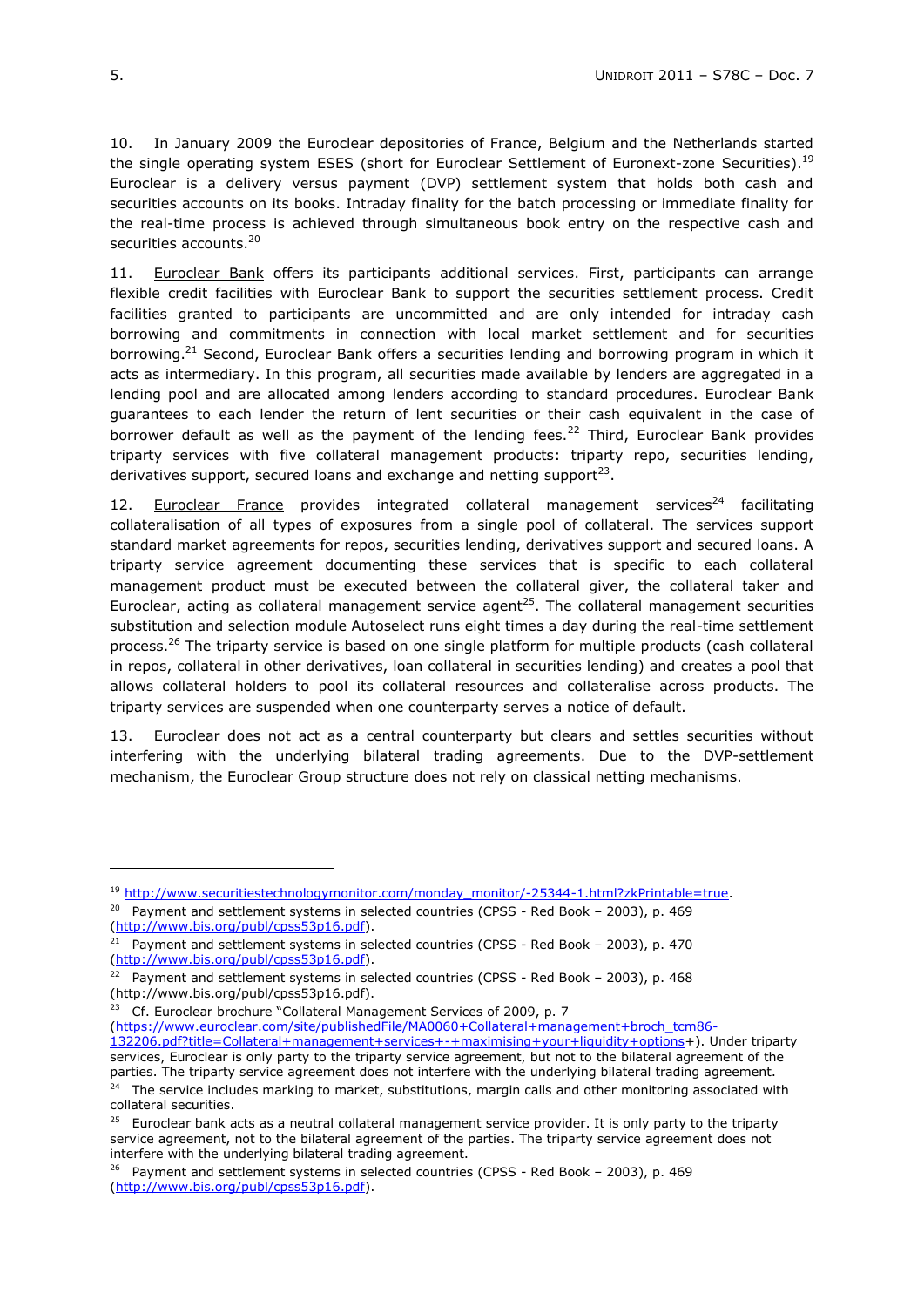10. In January 2009 the Euroclear depositories of France, Belgium and the Netherlands started the single operating system ESES (short for Euroclear Settlement of Euronext-zone Securities).<sup>19</sup> Euroclear is a delivery versus payment (DVP) settlement system that holds both cash and securities accounts on its books. Intraday finality for the batch processing or immediate finality for the real-time process is achieved through simultaneous book entry on the respective cash and securities accounts.<sup>20</sup>

11. Euroclear Bank offers its participants additional services. First, participants can arrange flexible credit facilities with Euroclear Bank to support the securities settlement process. Credit facilities granted to participants are uncommitted and are only intended for intraday cash borrowing and commitments in connection with local market settlement and for securities borrowing.<sup>21</sup> Second, Euroclear Bank offers a securities lending and borrowing program in which it acts as intermediary. In this program, all securities made available by lenders are aggregated in a lending pool and are allocated among lenders according to standard procedures. Euroclear Bank guarantees to each lender the return of lent securities or their cash equivalent in the case of borrower default as well as the payment of the lending fees.<sup>22</sup> Third, Euroclear Bank provides triparty services with five collateral management products: triparty repo, securities lending, derivatives support, secured loans and exchange and netting support<sup>23</sup>.

12. Euroclear France provides integrated collateral management services<sup>24</sup> facilitating collateralisation of all types of exposures from a single pool of collateral. The services support standard market agreements for repos, securities lending, derivatives support and secured loans. A triparty service agreement documenting these services that is specific to each collateral management product must be executed between the collateral giver, the collateral taker and Euroclear, acting as collateral management service agent<sup>25</sup>. The collateral management securities substitution and selection module Autoselect runs eight times a day during the real-time settlement process.<sup>26</sup> The triparty service is based on one single platform for multiple products (cash collateral in repos, collateral in other derivatives, loan collateral in securities lending) and creates a pool that allows collateral holders to pool its collateral resources and collateralise across products. The triparty services are suspended when one counterparty serves a notice of default.

13. Euroclear does not act as a central counterparty but clears and settles securities without interfering with the underlying bilateral trading agreements. Due to the DVP-settlement mechanism, the Euroclear Group structure does not rely on classical netting mechanisms.

<sup>23</sup> Cf. Euroclear brochure "Collateral Management Services of 2009, p. 7

[\(https://www.euroclear.com/site/publishedFile/MA0060+Collateral+management+broch\\_tcm86-](https://www.euroclear.com/site/publishedFile/MA0060+Collateral+management+broch_tcm86-132206.pdf?title=Collateral+management+services+-+maximising+your+liquidity+options)

<sup>&</sup>lt;sup>19</sup> [http://www.securitiestechnologymonitor.com/monday\\_monitor/-25344-1.html?zkPrintable=true.](http://www.securitiestechnologymonitor.com/monday_monitor/-25344-1.html?zkPrintable=true)

 $20$  Payment and settlement systems in selected countries (CPSS - Red Book - 2003), p. 469 [\(http://www.bis.org/publ/cpss53p16.pdf\)](http://www.bis.org/publ/cpss53p16.pdf).

<sup>&</sup>lt;sup>21</sup> Payment and settlement systems in selected countries (CPSS - Red Book - 2003), p. 470 [\(http://www.bis.org/publ/cpss53p16.pdf\)](http://www.bis.org/publ/cpss53p16.pdf).

<sup>&</sup>lt;sup>22</sup> Payment and settlement systems in selected countries (CPSS - Red Book - 2003), p. 468 (http://www.bis.org/publ/cpss53p16.pdf).

[<sup>132206.</sup>pdf?title=Collateral+management+services+-+maximising+your+liquidity+options+](https://www.euroclear.com/site/publishedFile/MA0060+Collateral+management+broch_tcm86-132206.pdf?title=Collateral+management+services+-+maximising+your+liquidity+options)). Under triparty services, Euroclear is only party to the triparty service agreement, but not to the bilateral agreement of the parties. The triparty service agreement does not interfere with the underlying bilateral trading agreement. <sup>24</sup> The service includes marking to market, substitutions, margin calls and other monitoring associated with collateral securities.

<sup>&</sup>lt;sup>25</sup> Euroclear bank acts as a neutral collateral management service provider. It is only party to the triparty service agreement, not to the bilateral agreement of the parties. The triparty service agreement does not interfere with the underlying bilateral trading agreement.

<sup>&</sup>lt;sup>26</sup> Payment and settlement systems in selected countries (CPSS - Red Book - 2003), p. 469 [\(http://www.bis.org/publ/cpss53p16.pdf\)](http://www.bis.org/publ/cpss53p16.pdf).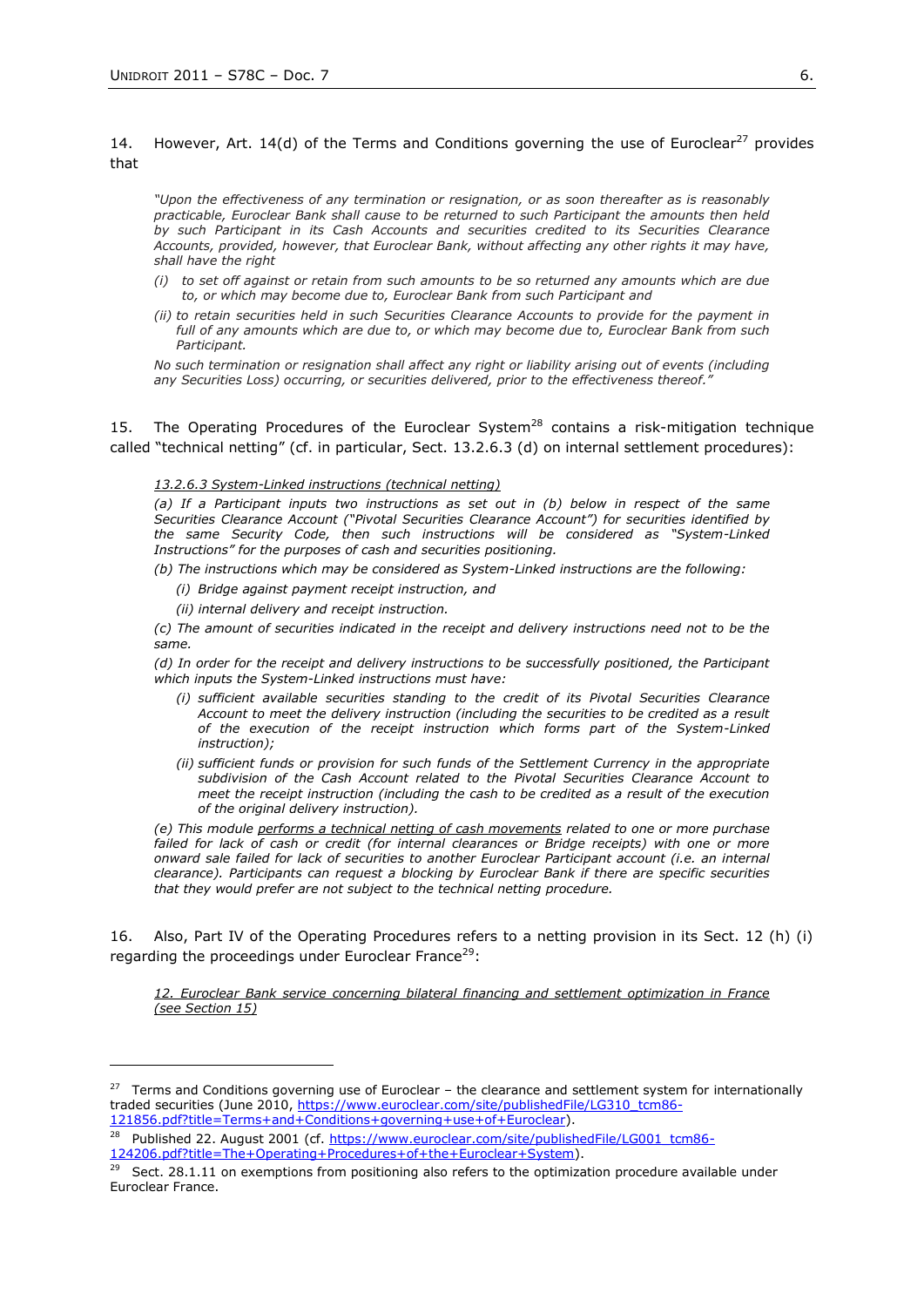## 14. However, Art. 14(d) of the Terms and Conditions governing the use of Euroclear<sup>27</sup> provides that

*"Upon the effectiveness of any termination or resignation, or as soon thereafter as is reasonably practicable, Euroclear Bank shall cause to be returned to such Participant the amounts then held by such Participant in its Cash Accounts and securities credited to its Securities Clearance Accounts, provided, however, that Euroclear Bank, without affecting any other rights it may have, shall have the right*

- *(i) to set off against or retain from such amounts to be so returned any amounts which are due to, or which may become due to, Euroclear Bank from such Participant and*
- *(ii) to retain securities held in such Securities Clearance Accounts to provide for the payment in full of any amounts which are due to, or which may become due to, Euroclear Bank from such Participant.*

*No such termination or resignation shall affect any right or liability arising out of events (including any Securities Loss) occurring, or securities delivered, prior to the effectiveness thereof."*

15. The Operating Procedures of the Euroclear System<sup>28</sup> contains a risk-mitigation technique called "technical netting" (cf. in particular, Sect. 13.2.6.3 (d) on internal settlement procedures):

## *13.2.6.3 System-Linked instructions (technical netting)*

*(a) If a Participant inputs two instructions as set out in (b) below in respect of the same Securities Clearance Account ("Pivotal Securities Clearance Account") for securities identified by the same Security Code, then such instructions will be considered as "System-Linked Instructions" for the purposes of cash and securities positioning.*

*(b) The instructions which may be considered as System-Linked instructions are the following:*

- *(i) Bridge against payment receipt instruction, and*
- *(ii) internal delivery and receipt instruction.*

*(c) The amount of securities indicated in the receipt and delivery instructions need not to be the same.*

*(d) In order for the receipt and delivery instructions to be successfully positioned, the Participant which inputs the System-Linked instructions must have:*

- *(i) sufficient available securities standing to the credit of its Pivotal Securities Clearance Account to meet the delivery instruction (including the securities to be credited as a result of the execution of the receipt instruction which forms part of the System-Linked instruction);*
- *(ii) sufficient funds or provision for such funds of the Settlement Currency in the appropriate subdivision of the Cash Account related to the Pivotal Securities Clearance Account to meet the receipt instruction (including the cash to be credited as a result of the execution of the original delivery instruction).*

*(e) This module performs a technical netting of cash movements related to one or more purchase*  failed for lack of cash or credit (for internal clearances or Bridge receipts) with one or more *onward sale failed for lack of securities to another Euroclear Participant account (i.e. an internal clearance). Participants can request a blocking by Euroclear Bank if there are specific securities that they would prefer are not subject to the technical netting procedure.*

16. Also, Part IV of the Operating Procedures refers to a netting provision in its Sect. 12 (h) (i) regarding the proceedings under Euroclear France<sup>29</sup>:

*12. Euroclear Bank service concerning bilateral financing and settlement optimization in France (see Section 15)*

 $27$  Terms and Conditions governing use of Euroclear – the clearance and settlement system for internationally traded securities (June 2010[, https://www.euroclear.com/site/publishedFile/LG310\\_tcm86-](https://www.euroclear.com/site/publishedFile/LG310_tcm86-121856.pdf?title=Terms+and+Conditions+governing+use+of+Euroclear) [121856.pdf?title=Terms+and+Conditions+governing+use+of+Euroclear\)](https://www.euroclear.com/site/publishedFile/LG310_tcm86-121856.pdf?title=Terms+and+Conditions+governing+use+of+Euroclear).

<sup>&</sup>lt;sup>28</sup> Published 22. August 2001 (cf. [https://www.euroclear.com/site/publishedFile/LG001\\_tcm86-](https://www.euroclear.com/site/publishedFile/LG001_tcm86-124206.pdf?title=The+Operating+Procedures+of+the+Euroclear+System) [124206.pdf?title=The+Operating+Procedures+of+the+Euroclear+System\)](https://www.euroclear.com/site/publishedFile/LG001_tcm86-124206.pdf?title=The+Operating+Procedures+of+the+Euroclear+System).

<sup>&</sup>lt;sup>29</sup> Sect. 28.1.11 on exemptions from positioning also refers to the optimization procedure available under Euroclear France.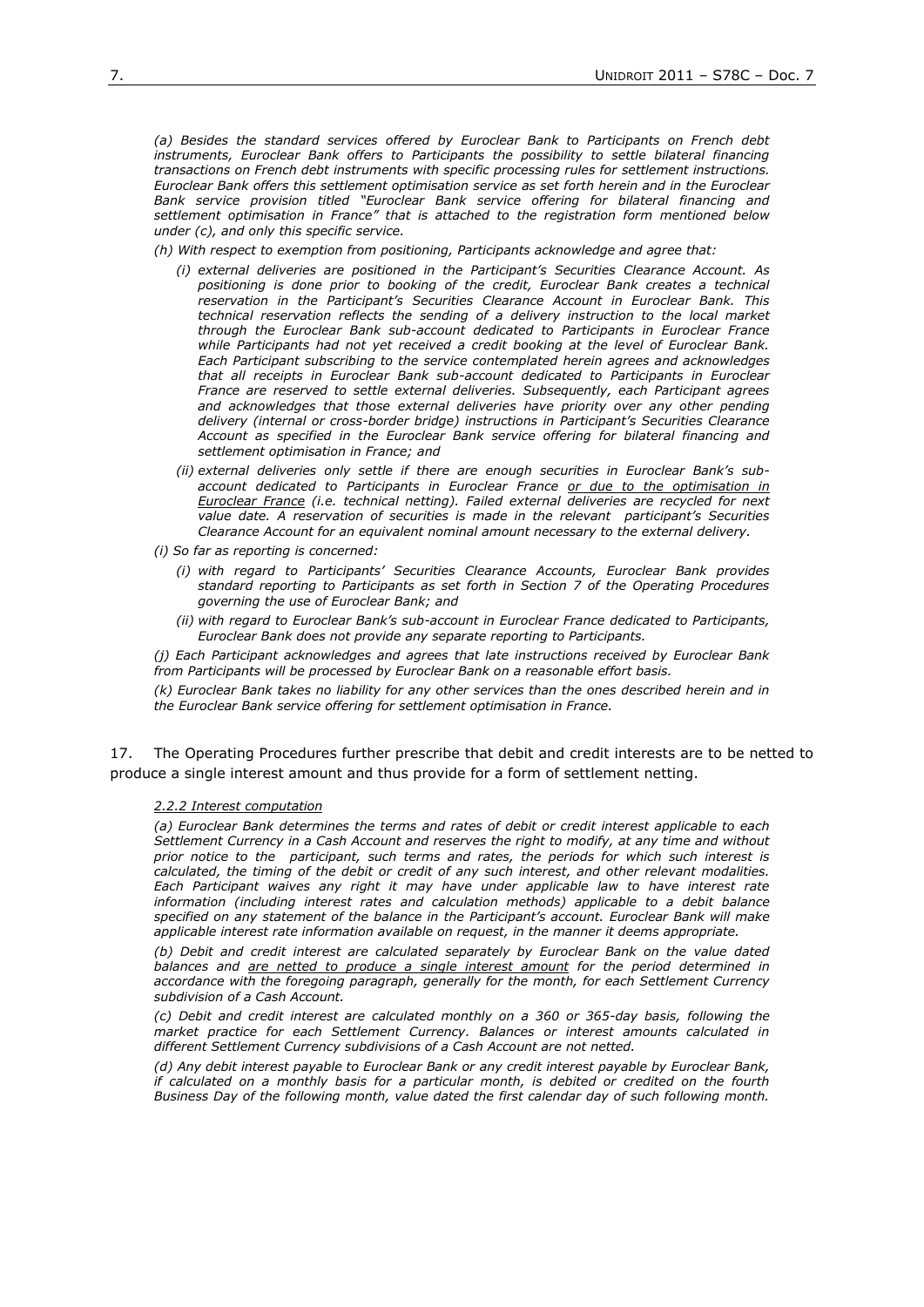*(a) Besides the standard services offered by Euroclear Bank to Participants on French debt*  instruments, Euroclear Bank offers to Participants the possibility to settle bilateral financing *transactions on French debt instruments with specific processing rules for settlement instructions. Euroclear Bank offers this settlement optimisation service as set forth herein and in the Euroclear Bank service provision titled "Euroclear Bank service offering for bilateral financing and settlement optimisation in France" that is attached to the registration form mentioned below under (c), and only this specific service.*

*(h) With respect to exemption from positioning, Participants acknowledge and agree that:*

- *(i) external deliveries are positioned in the Participant's Securities Clearance Account. As positioning is done prior to booking of the credit, Euroclear Bank creates a technical reservation in the Participant's Securities Clearance Account in Euroclear Bank. This technical reservation reflects the sending of a delivery instruction to the local market through the Euroclear Bank sub-account dedicated to Participants in Euroclear France while Participants had not yet received a credit booking at the level of Euroclear Bank. Each Participant subscribing to the service contemplated herein agrees and acknowledges that all receipts in Euroclear Bank sub-account dedicated to Participants in Euroclear France are reserved to settle external deliveries. Subsequently, each Participant agrees and acknowledges that those external deliveries have priority over any other pending delivery (internal or cross-border bridge) instructions in Participant's Securities Clearance Account as specified in the Euroclear Bank service offering for bilateral financing and settlement optimisation in France; and*
- *(ii) external deliveries only settle if there are enough securities in Euroclear Bank's subaccount dedicated to Participants in Euroclear France or due to the optimisation in Euroclear France (i.e. technical netting). Failed external deliveries are recycled for next value date. A reservation of securities is made in the relevant participant's Securities Clearance Account for an equivalent nominal amount necessary to the external delivery.*
- *(i) So far as reporting is concerned:*
	- *(i) with regard to Participants' Securities Clearance Accounts, Euroclear Bank provides standard reporting to Participants as set forth in Section 7 of the Operating Procedures governing the use of Euroclear Bank; and*
	- *(ii) with regard to Euroclear Bank's sub-account in Euroclear France dedicated to Participants, Euroclear Bank does not provide any separate reporting to Participants.*

*(j) Each Participant acknowledges and agrees that late instructions received by Euroclear Bank from Participants will be processed by Euroclear Bank on a reasonable effort basis.*

*(k) Euroclear Bank takes no liability for any other services than the ones described herein and in the Euroclear Bank service offering for settlement optimisation in France.*

17. The Operating Procedures further prescribe that debit and credit interests are to be netted to produce a single interest amount and thus provide for a form of settlement netting.

### *2.2.2 Interest computation*

*(a) Euroclear Bank determines the terms and rates of debit or credit interest applicable to each Settlement Currency in a Cash Account and reserves the right to modify, at any time and without prior notice to the participant, such terms and rates, the periods for which such interest is calculated, the timing of the debit or credit of any such interest, and other relevant modalities. Each Participant waives any right it may have under applicable law to have interest rate*  information (including interest rates and calculation methods) applicable to a debit balance *specified on any statement of the balance in the Participant's account. Euroclear Bank will make applicable interest rate information available on request, in the manner it deems appropriate.*

*(b) Debit and credit interest are calculated separately by Euroclear Bank on the value dated balances and are netted to produce a single interest amount for the period determined in accordance with the foregoing paragraph, generally for the month, for each Settlement Currency subdivision of a Cash Account.*

*(c) Debit and credit interest are calculated monthly on a 360 or 365-day basis, following the market practice for each Settlement Currency. Balances or interest amounts calculated in different Settlement Currency subdivisions of a Cash Account are not netted.*

*(d) Any debit interest payable to Euroclear Bank or any credit interest payable by Euroclear Bank, if calculated on a monthly basis for a particular month, is debited or credited on the fourth Business Day of the following month, value dated the first calendar day of such following month.*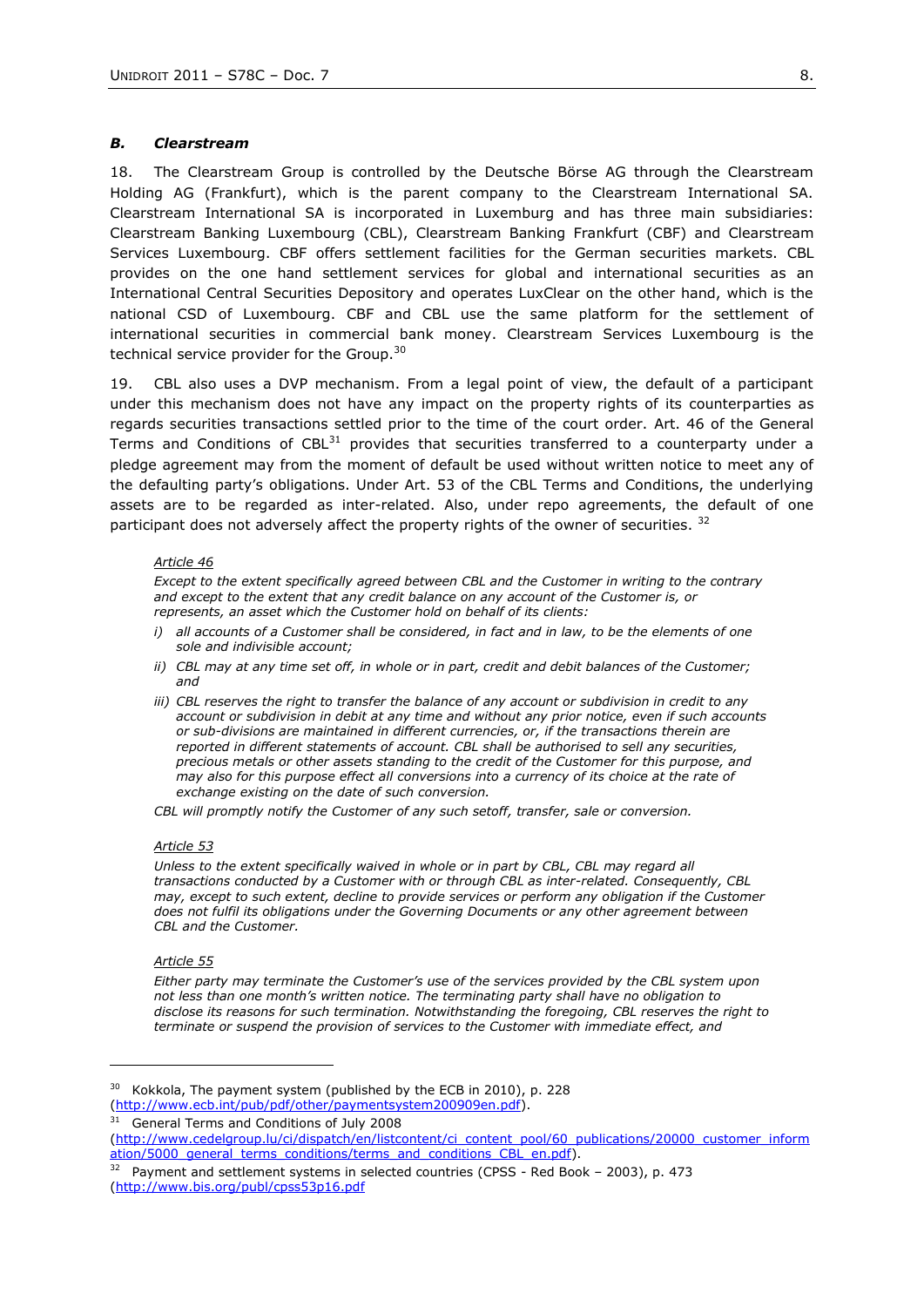## *B. Clearstream*

18. The Clearstream Group is controlled by the Deutsche Börse AG through the Clearstream Holding AG (Frankfurt), which is the parent company to the Clearstream International SA. Clearstream International SA is incorporated in Luxemburg and has three main subsidiaries: Clearstream Banking Luxembourg (CBL), Clearstream Banking Frankfurt (CBF) and Clearstream Services Luxembourg. CBF offers settlement facilities for the German securities markets. CBL provides on the one hand settlement services for global and international securities as an International Central Securities Depository and operates LuxClear on the other hand, which is the national CSD of Luxembourg. CBF and CBL use the same platform for the settlement of international securities in commercial bank money. Clearstream Services Luxembourg is the technical service provider for the Group.<sup>30</sup>

19. CBL also uses a DVP mechanism. From a legal point of view, the default of a participant under this mechanism does not have any impact on the property rights of its counterparties as regards securities transactions settled prior to the time of the court order. Art. 46 of the General Terms and Conditions of  $CBL^{31}$  provides that securities transferred to a counterparty under a pledge agreement may from the moment of default be used without written notice to meet any of the defaulting party's obligations. Under Art. 53 of the CBL Terms and Conditions, the underlying assets are to be regarded as inter-related. Also, under repo agreements, the default of one participant does not adversely affect the property rights of the owner of securities.<sup>32</sup>

#### *Article 46*

*Except to the extent specifically agreed between CBL and the Customer in writing to the contrary and except to the extent that any credit balance on any account of the Customer is, or represents, an asset which the Customer hold on behalf of its clients:* 

- *i*) all accounts of a Customer shall be considered, in fact and in law, to be the elements of one *sole and indivisible account;*
- *ii*) CBL may at any time set off, in whole or in part, credit and debit balances of the Customer; *and*
- *iii)* CBL reserves the right to transfer the balance of any account or subdivision in credit to any *account or subdivision in debit at any time and without any prior notice, even if such accounts or sub-divisions are maintained in different currencies, or, if the transactions therein are reported in different statements of account. CBL shall be authorised to sell any securities, precious metals or other assets standing to the credit of the Customer for this purpose, and may also for this purpose effect all conversions into a currency of its choice at the rate of exchange existing on the date of such conversion.*

*CBL will promptly notify the Customer of any such setoff, transfer, sale or conversion.*

## *Article 53*

*Unless to the extent specifically waived in whole or in part by CBL, CBL may regard all transactions conducted by a Customer with or through CBL as inter-related. Consequently, CBL may, except to such extent, decline to provide services or perform any obligation if the Customer does not fulfil its obligations under the Governing Documents or any other agreement between CBL and the Customer.*

### *Article 55*

*Either party may terminate the Customer's use of the services provided by the CBL system upon not less than one month's written notice. The terminating party shall have no obligation to disclose its reasons for such termination. Notwithstanding the foregoing, CBL reserves the right to terminate or suspend the provision of services to the Customer with immediate effect, and* 

<sup>30</sup> Kokkola, The payment system (published by the ECB in 2010), p. 228 [\(http://www.ecb.int/pub/pdf/other/paymentsystem200909en.pdf\)](http://www.ecb.int/pub/pdf/other/paymentsystem200909en.pdf).

<sup>31</sup> General Terms and Conditions of July 2008

[<sup>\(</sup>http://www.cedelgroup.lu/ci/dispatch/en/listcontent/ci\\_content\\_pool/60\\_publications/20000\\_customer\\_inform](http://www.cedelgroup.lu/ci/dispatch/en/listcontent/ci_content_pool/60_publications/20000_customer_information/5000_general_terms_conditions/terms_and_conditions_CBL_en.pdf) [ation/5000\\_general\\_terms\\_conditions/terms\\_and\\_conditions\\_CBL\\_en.pdf\)](http://www.cedelgroup.lu/ci/dispatch/en/listcontent/ci_content_pool/60_publications/20000_customer_information/5000_general_terms_conditions/terms_and_conditions_CBL_en.pdf).

<sup>&</sup>lt;sup>32</sup> Payment and settlement systems in selected countries (CPSS - Red Book - 2003), p. 473 [\(http://www.bis.org/publ/cpss53p16.pdf](http://www.bis.org/publ/cpss53p16.pdf)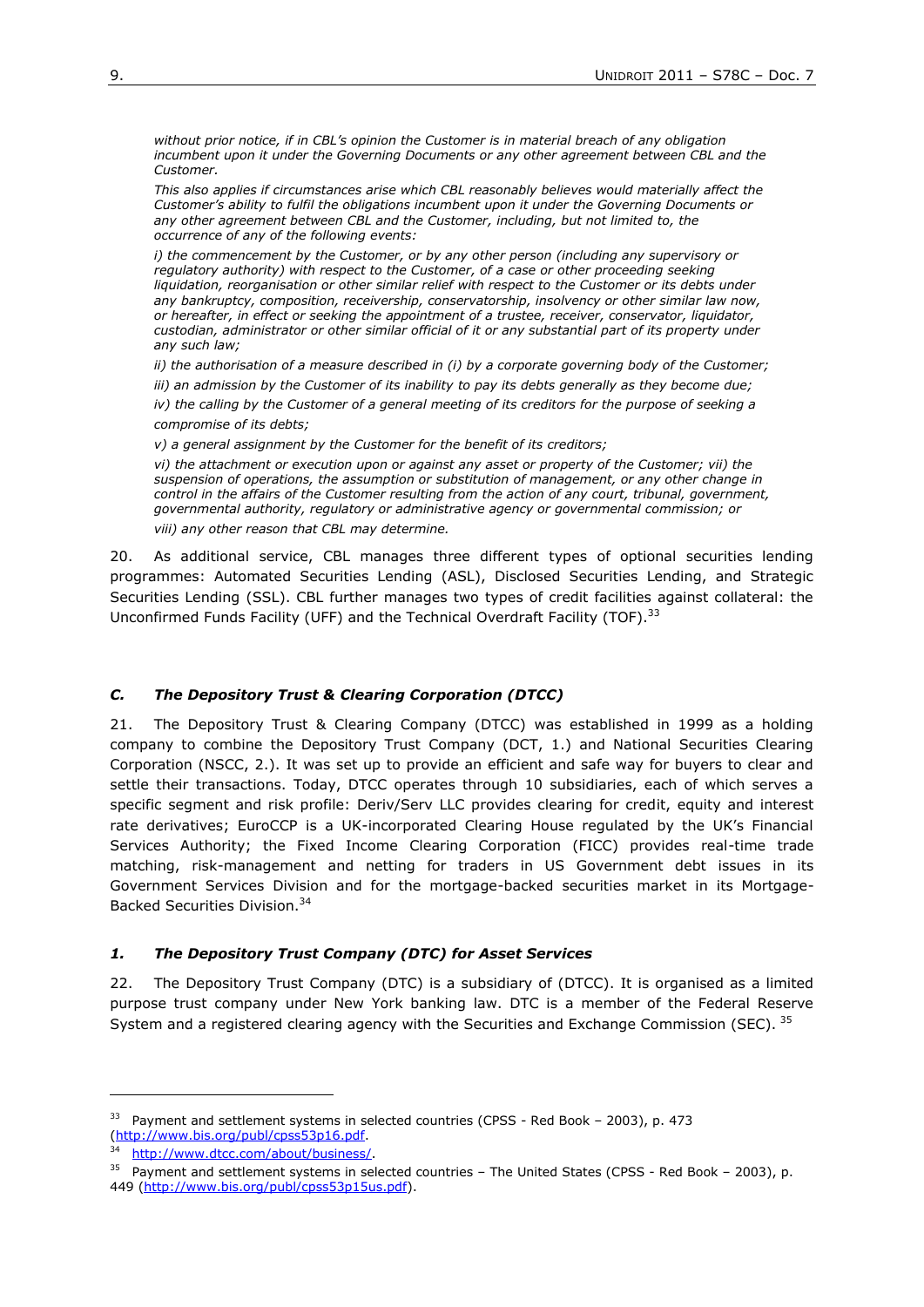*without prior notice, if in CBL's opinion the Customer is in material breach of any obligation incumbent upon it under the Governing Documents or any other agreement between CBL and the Customer.*

*This also applies if circumstances arise which CBL reasonably believes would materially affect the Customer's ability to fulfil the obligations incumbent upon it under the Governing Documents or any other agreement between CBL and the Customer, including, but not limited to, the occurrence of any of the following events:*

*i)* the commencement by the Customer, or by any other person (including any supervisory or *regulatory authority) with respect to the Customer, of a case or other proceeding seeking*  liquidation, reorganisation or other similar relief with respect to the Customer or its debts under *any bankruptcy, composition, receivership, conservatorship, insolvency or other similar law now, or hereafter, in effect or seeking the appointment of a trustee, receiver, conservator, liquidator, custodian, administrator or other similar official of it or any substantial part of its property under any such law;* 

*ii) the authorisation of a measure described in (i) by a corporate governing body of the Customer;*

*iii) an admission by the Customer of its inability to pay its debts generally as they become due;*

*iv) the calling by the Customer of a general meeting of its creditors for the purpose of seeking a compromise of its debts;*

*v) a general assignment by the Customer for the benefit of its creditors;*

*vi) the attachment or execution upon or against any asset or property of the Customer; vii) the suspension of operations, the assumption or substitution of management, or any other change in control in the affairs of the Customer resulting from the action of any court, tribunal, government, governmental authority, regulatory or administrative agency or governmental commission; or*

*viii) any other reason that CBL may determine.*

20. As additional service, CBL manages three different types of optional securities lending programmes: Automated Securities Lending (ASL), Disclosed Securities Lending, and Strategic Securities Lending (SSL). CBL further manages two types of credit facilities against collateral: the Unconfirmed Funds Facility (UFF) and the Technical Overdraft Facility (TOF).<sup>33</sup>

# *C. The Depository Trust & Clearing Corporation (DTCC)*

21. The Depository Trust & Clearing Company (DTCC) was established in 1999 as a holding company to combine the Depository Trust Company (DCT, 1.) and National Securities Clearing Corporation (NSCC, 2.). It was set up to provide an efficient and safe way for buyers to clear and settle their transactions. Today, DTCC operates through 10 subsidiaries, each of which serves a specific segment and risk profile: Deriv/Serv LLC provides clearing for credit, equity and interest rate derivatives; EuroCCP is a UK-incorporated Clearing House regulated by the UK's Financial Services Authority; the Fixed Income Clearing Corporation (FICC) provides real-time trade matching, risk-management and netting for traders in US Government debt issues in its Government Services Division and for the mortgage-backed securities market in its Mortgage-Backed Securities Division.<sup>34</sup>

## *1. The Depository Trust Company (DTC) for Asset Services*

22. The Depository Trust Company (DTC) is a subsidiary of (DTCC). It is organised as a limited purpose trust company under New York banking law. DTC is a member of the Federal Reserve System and a registered clearing agency with the Securities and Exchange Commission (SEC). 35

1

<sup>&</sup>lt;sup>33</sup> Payment and settlement systems in selected countries (CPSS - Red Book - 2003), p. 473 [\(http://www.bis.org/publ/cpss53p16.pdf.](http://www.bis.org/publ/cpss53p16.pdf)

http://www.dtcc.com/about/business/

<sup>&</sup>lt;sup>35</sup> Payment and settlement systems in selected countries - The United States (CPSS - Red Book - 2003), p. 449 [\(http://www.bis.org/publ/cpss53p15us.pdf\)](http://www.bis.org/publ/cpss53p15us.pdf).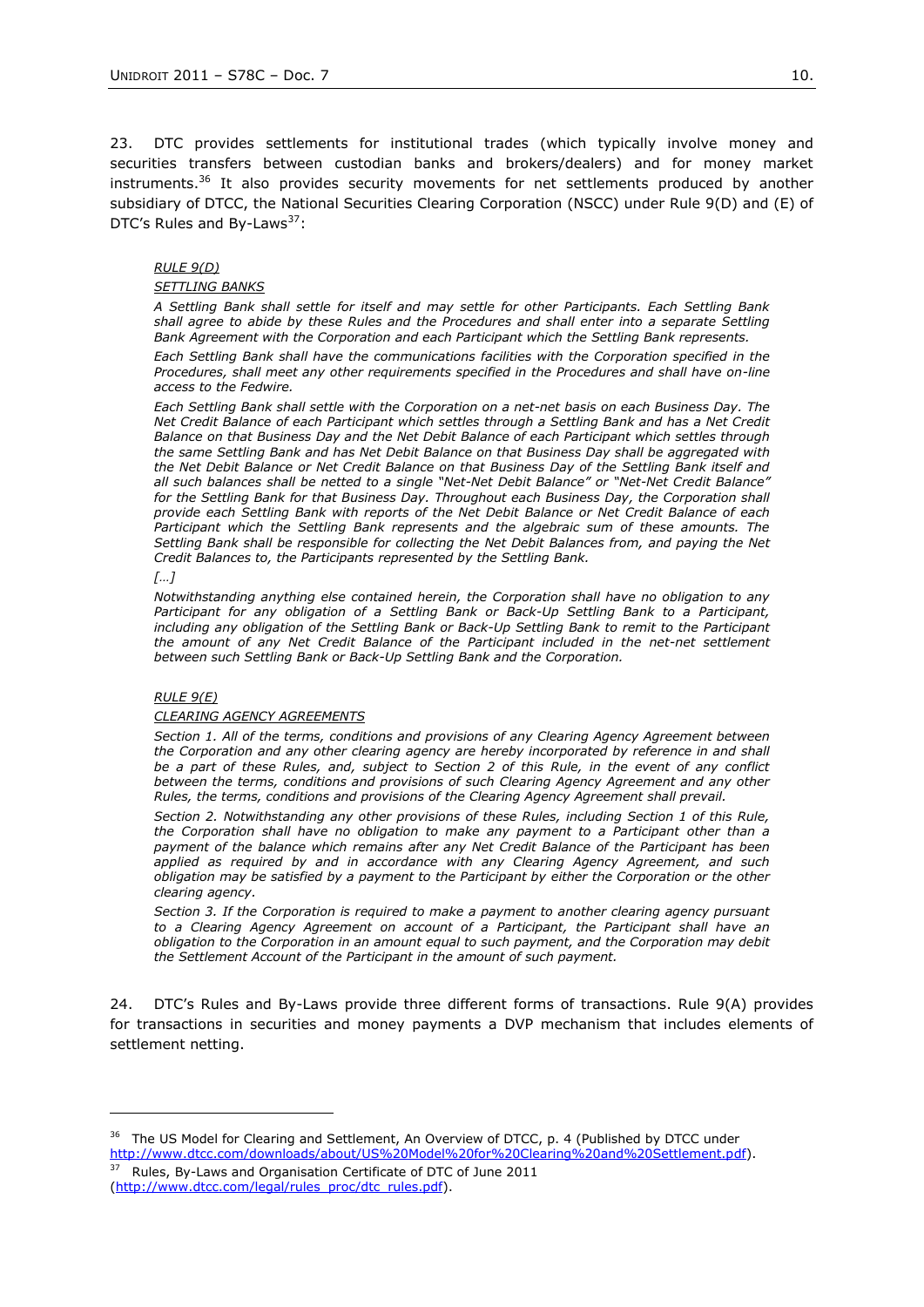23. DTC provides settlements for institutional trades (which typically involve money and securities transfers between custodian banks and brokers/dealers) and for money market instruments.<sup>36</sup> It also provides security movements for net settlements produced by another subsidiary of DTCC, the National Securities Clearing Corporation (NSCC) under Rule 9(D) and (E) of DTC's Rules and By-Laws<sup>37</sup>:

## *RULE 9(D)*

## *SETTLING BANKS*

*A Settling Bank shall settle for itself and may settle for other Participants. Each Settling Bank shall agree to abide by these Rules and the Procedures and shall enter into a separate Settling Bank Agreement with the Corporation and each Participant which the Settling Bank represents.*

*Each Settling Bank shall have the communications facilities with the Corporation specified in the Procedures, shall meet any other requirements specified in the Procedures and shall have on-line access to the Fedwire.*

*Each Settling Bank shall settle with the Corporation on a net-net basis on each Business Day. The Net Credit Balance of each Participant which settles through a Settling Bank and has a Net Credit Balance on that Business Day and the Net Debit Balance of each Participant which settles through the same Settling Bank and has Net Debit Balance on that Business Day shall be aggregated with the Net Debit Balance or Net Credit Balance on that Business Day of the Settling Bank itself and all such balances shall be netted to a single "Net-Net Debit Balance" or "Net-Net Credit Balance"*  for the Settling Bank for that Business Day. Throughout each Business Day, the Corporation shall *provide each Settling Bank with reports of the Net Debit Balance or Net Credit Balance of each Participant which the Settling Bank represents and the algebraic sum of these amounts. The Settling Bank shall be responsible for collecting the Net Debit Balances from, and paying the Net Credit Balances to, the Participants represented by the Settling Bank.*

### *[…]*

*Notwithstanding anything else contained herein, the Corporation shall have no obligation to any Participant for any obligation of a Settling Bank or Back-Up Settling Bank to a Participant, including any obligation of the Settling Bank or Back-Up Settling Bank to remit to the Participant*  the amount of any Net Credit Balance of the Participant included in the net-net settlement *between such Settling Bank or Back-Up Settling Bank and the Corporation.*

### *RULE 9(E)*

### *CLEARING AGENCY AGREEMENTS*

*Section 1. All of the terms, conditions and provisions of any Clearing Agency Agreement between*  the Corporation and any other clearing agency are hereby incorporated by reference in and shall *be a part of these Rules, and, subject to Section 2 of this Rule, in the event of any conflict between the terms, conditions and provisions of such Clearing Agency Agreement and any other Rules, the terms, conditions and provisions of the Clearing Agency Agreement shall prevail.*

*Section 2. Notwithstanding any other provisions of these Rules, including Section 1 of this Rule, the Corporation shall have no obligation to make any payment to a Participant other than a payment of the balance which remains after any Net Credit Balance of the Participant has been applied as required by and in accordance with any Clearing Agency Agreement, and such obligation may be satisfied by a payment to the Participant by either the Corporation or the other clearing agency.*

*Section 3. If the Corporation is required to make a payment to another clearing agency pursuant*  to a Clearing Agency Agreement on account of a Participant, the Participant shall have an *obligation to the Corporation in an amount equal to such payment, and the Corporation may debit the Settlement Account of the Participant in the amount of such payment.*

24. DTC's Rules and By-Laws provide three different forms of transactions. Rule 9(A) provides for transactions in securities and money payments a DVP mechanism that includes elements of settlement netting.

 $37$  Rules, By-Laws and Organisation Certificate of DTC of June 2011 [\(http://www.dtcc.com/legal/rules\\_proc/dtc\\_rules.pdf\)](http://www.dtcc.com/legal/rules_proc/dtc_rules.pdf).

 $36$  The US Model for Clearing and Settlement, An Overview of DTCC, p. 4 (Published by DTCC under [http://www.dtcc.com/downloads/about/US%20Model%20for%20Clearing%20and%20Settlement.pdf\)](http://www.dtcc.com/downloads/about/US%20Model%20for%20Clearing%20and%20Settlement.pdf).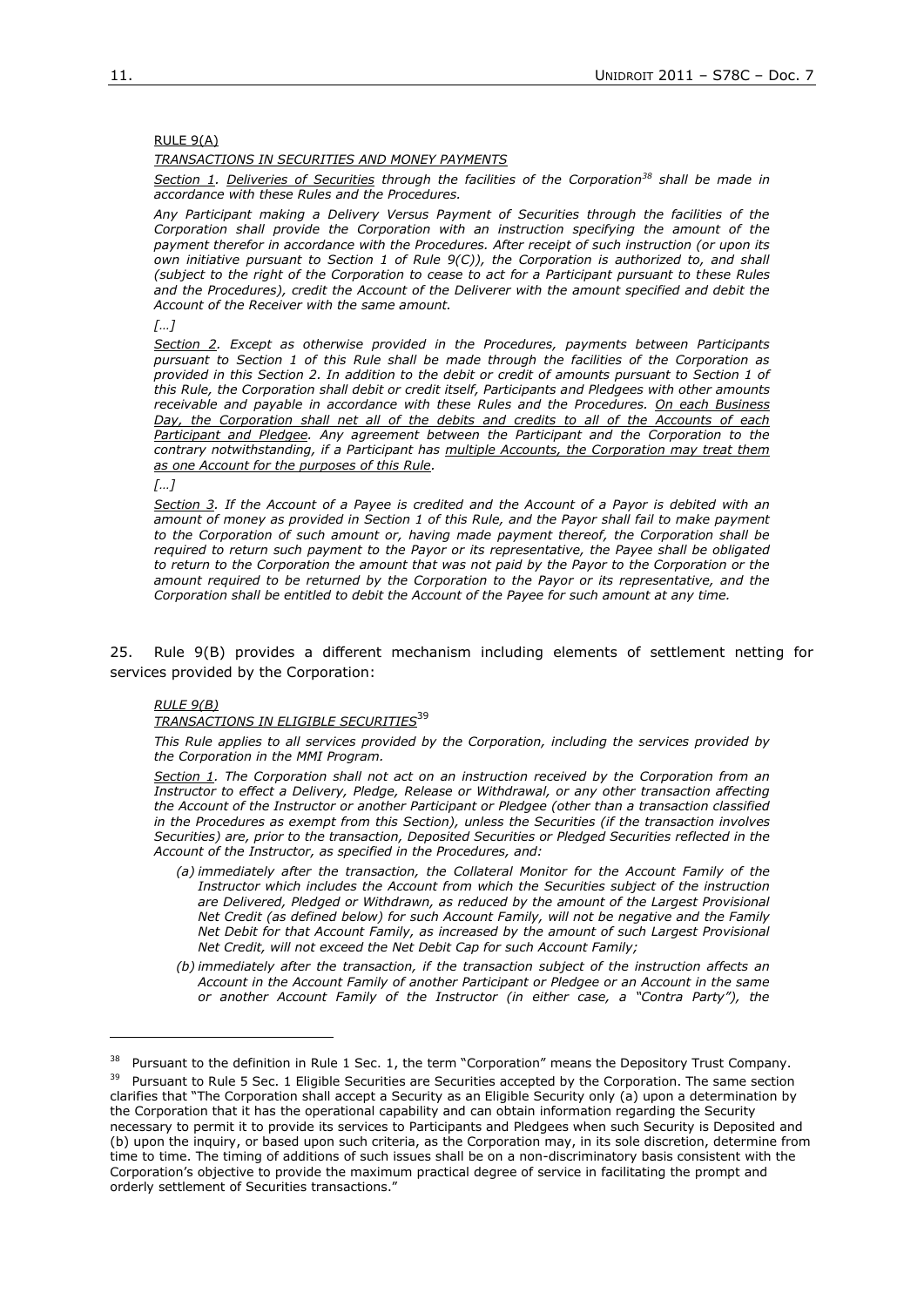## RULE 9(A)

## *TRANSACTIONS IN SECURITIES AND MONEY PAYMENTS*

*Section 1. Deliveries of Securities through the facilities of the Corporation<sup>38</sup> shall be made in accordance with these Rules and the Procedures.* 

*Any Participant making a Delivery Versus Payment of Securities through the facilities of the Corporation shall provide the Corporation with an instruction specifying the amount of the payment therefor in accordance with the Procedures. After receipt of such instruction (or upon its own initiative pursuant to Section 1 of Rule 9(C)), the Corporation is authorized to, and shall (subject to the right of the Corporation to cease to act for a Participant pursuant to these Rules and the Procedures), credit the Account of the Deliverer with the amount specified and debit the Account of the Receiver with the same amount.* 

*[…]*

*Section 2. Except as otherwise provided in the Procedures, payments between Participants pursuant to Section 1 of this Rule shall be made through the facilities of the Corporation as provided in this Section 2. In addition to the debit or credit of amounts pursuant to Section 1 of this Rule, the Corporation shall debit or credit itself, Participants and Pledgees with other amounts receivable and payable in accordance with these Rules and the Procedures. On each Business Day, the Corporation shall net all of the debits and credits to all of the Accounts of each*  Participant and Pledgee. Any agreement between the Participant and the Corporation to the *contrary notwithstanding, if a Participant has multiple Accounts, the Corporation may treat them as one Account for the purposes of this Rule.*

*[…]*

*Section 3. If the Account of a Payee is credited and the Account of a Payor is debited with an amount of money as provided in Section 1 of this Rule, and the Payor shall fail to make payment to the Corporation of such amount or, having made payment thereof, the Corporation shall be required to return such payment to the Payor or its representative, the Payee shall be obligated to return to the Corporation the amount that was not paid by the Payor to the Corporation or the amount required to be returned by the Corporation to the Payor or its representative, and the Corporation shall be entitled to debit the Account of the Payee for such amount at any time.*

25. Rule 9(B) provides a different mechanism including elements of settlement netting for services provided by the Corporation:

### *RULE 9(B)*

# *TRANSACTIONS IN ELIGIBLE SECURITIES*<sup>39</sup>

*This Rule applies to all services provided by the Corporation, including the services provided by the Corporation in the MMI Program.*

*Section 1. The Corporation shall not act on an instruction received by the Corporation from an Instructor to effect a Delivery, Pledge, Release or Withdrawal, or any other transaction affecting the Account of the Instructor or another Participant or Pledgee (other than a transaction classified in the Procedures as exempt from this Section), unless the Securities (if the transaction involves Securities) are, prior to the transaction, Deposited Securities or Pledged Securities reflected in the Account of the Instructor, as specified in the Procedures, and:*

- *(a) immediately after the transaction, the Collateral Monitor for the Account Family of the Instructor which includes the Account from which the Securities subject of the instruction are Delivered, Pledged or Withdrawn, as reduced by the amount of the Largest Provisional Net Credit (as defined below) for such Account Family, will not be negative and the Family Net Debit for that Account Family, as increased by the amount of such Largest Provisional Net Credit, will not exceed the Net Debit Cap for such Account Family;*
- *(b) immediately after the transaction, if the transaction subject of the instruction affects an Account in the Account Family of another Participant or Pledgee or an Account in the same or another Account Family of the Instructor (in either case, a "Contra Party"), the*

<sup>&</sup>lt;sup>38</sup> Pursuant to the definition in Rule 1 Sec. 1, the term "Corporation" means the Depository Trust Company.

<sup>&</sup>lt;sup>39</sup> Pursuant to Rule 5 Sec. 1 Eligible Securities are Securities accepted by the Corporation. The same section clarifies that "The Corporation shall accept a Security as an Eligible Security only (a) upon a determination by the Corporation that it has the operational capability and can obtain information regarding the Security necessary to permit it to provide its services to Participants and Pledgees when such Security is Deposited and (b) upon the inquiry, or based upon such criteria, as the Corporation may, in its sole discretion, determine from time to time. The timing of additions of such issues shall be on a non-discriminatory basis consistent with the Corporation's objective to provide the maximum practical degree of service in facilitating the prompt and orderly settlement of Securities transactions."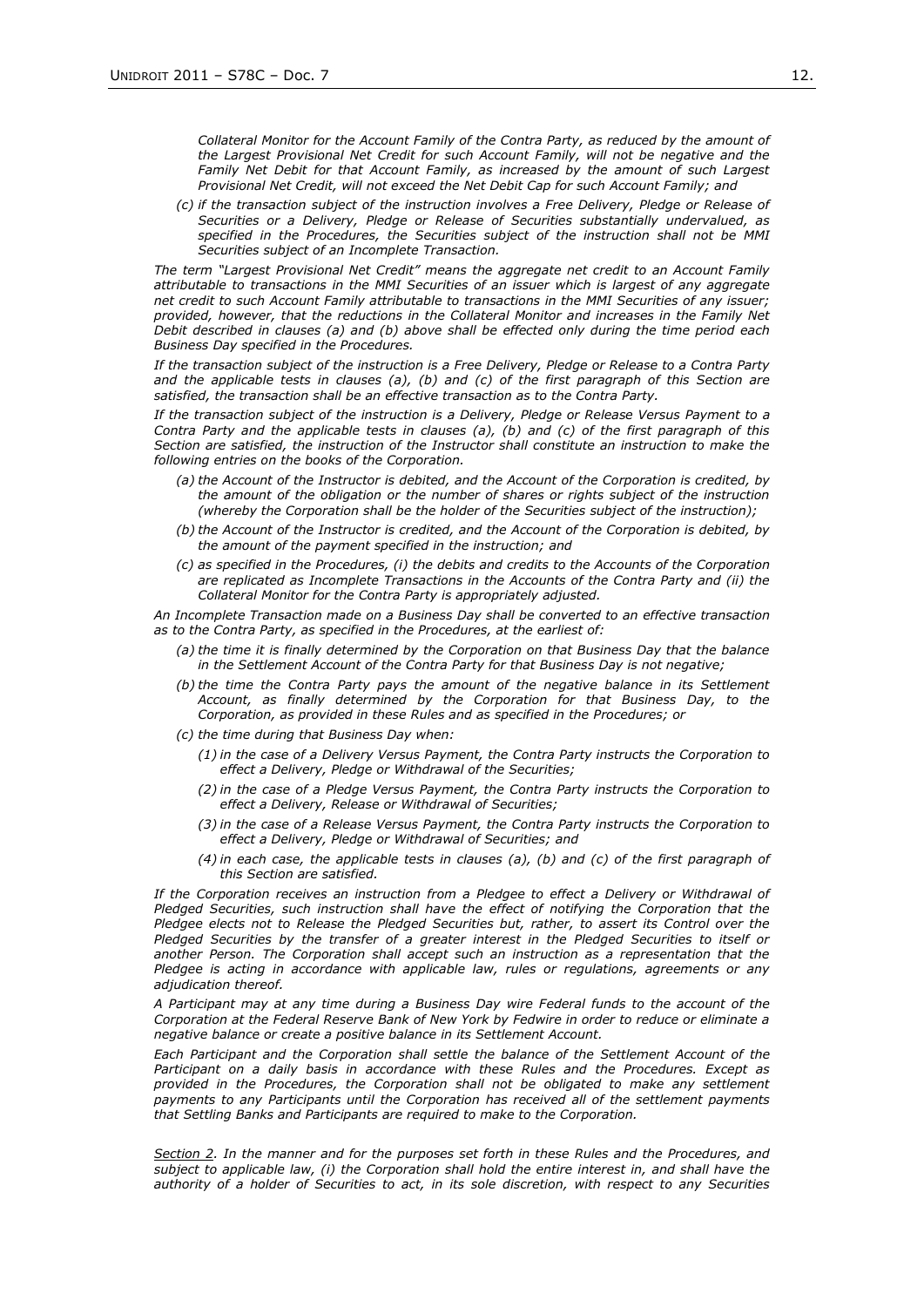*Collateral Monitor for the Account Family of the Contra Party, as reduced by the amount of the Largest Provisional Net Credit for such Account Family, will not be negative and the Family Net Debit for that Account Family, as increased by the amount of such Largest Provisional Net Credit, will not exceed the Net Debit Cap for such Account Family; and*

*(c) if the transaction subject of the instruction involves a Free Delivery, Pledge or Release of Securities or a Delivery, Pledge or Release of Securities substantially undervalued, as specified in the Procedures, the Securities subject of the instruction shall not be MMI Securities subject of an Incomplete Transaction.*

*The term "Largest Provisional Net Credit" means the aggregate net credit to an Account Family attributable to transactions in the MMI Securities of an issuer which is largest of any aggregate net credit to such Account Family attributable to transactions in the MMI Securities of any issuer; provided, however, that the reductions in the Collateral Monitor and increases in the Family Net Debit described in clauses (a) and (b) above shall be effected only during the time period each Business Day specified in the Procedures.*

*If the transaction subject of the instruction is a Free Delivery, Pledge or Release to a Contra Party and the applicable tests in clauses (a), (b) and (c) of the first paragraph of this Section are satisfied, the transaction shall be an effective transaction as to the Contra Party.*

*If the transaction subject of the instruction is a Delivery, Pledge or Release Versus Payment to a Contra Party and the applicable tests in clauses (a), (b) and (c) of the first paragraph of this Section are satisfied, the instruction of the Instructor shall constitute an instruction to make the following entries on the books of the Corporation.*

- *(a) the Account of the Instructor is debited, and the Account of the Corporation is credited, by the amount of the obligation or the number of shares or rights subject of the instruction (whereby the Corporation shall be the holder of the Securities subject of the instruction);*
- *(b) the Account of the Instructor is credited, and the Account of the Corporation is debited, by the amount of the payment specified in the instruction; and*
- *(c) as specified in the Procedures, (i) the debits and credits to the Accounts of the Corporation are replicated as Incomplete Transactions in the Accounts of the Contra Party and (ii) the Collateral Monitor for the Contra Party is appropriately adjusted.*

*An Incomplete Transaction made on a Business Day shall be converted to an effective transaction as to the Contra Party, as specified in the Procedures, at the earliest of:*

- *(a) the time it is finally determined by the Corporation on that Business Day that the balance in the Settlement Account of the Contra Party for that Business Day is not negative;*
- *(b) the time the Contra Party pays the amount of the negative balance in its Settlement Account, as finally determined by the Corporation for that Business Day, to the Corporation, as provided in these Rules and as specified in the Procedures; or*
- *(c) the time during that Business Day when:*
	- *(1) in the case of a Delivery Versus Payment, the Contra Party instructs the Corporation to effect a Delivery, Pledge or Withdrawal of the Securities;*
	- *(2) in the case of a Pledge Versus Payment, the Contra Party instructs the Corporation to effect a Delivery, Release or Withdrawal of Securities;*
	- *(3) in the case of a Release Versus Payment, the Contra Party instructs the Corporation to effect a Delivery, Pledge or Withdrawal of Securities; and*
	- *(4) in each case, the applicable tests in clauses (a), (b) and (c) of the first paragraph of this Section are satisfied.*

*If the Corporation receives an instruction from a Pledgee to effect a Delivery or Withdrawal of*  Pledged Securities, such instruction shall have the effect of notifying the Corporation that the *Pledgee elects not to Release the Pledged Securities but, rather, to assert its Control over the Pledged Securities by the transfer of a greater interest in the Pledged Securities to itself or another Person. The Corporation shall accept such an instruction as a representation that the Pledgee is acting in accordance with applicable law, rules or regulations, agreements or any adjudication thereof.*

*A Participant may at any time during a Business Day wire Federal funds to the account of the Corporation at the Federal Reserve Bank of New York by Fedwire in order to reduce or eliminate a negative balance or create a positive balance in its Settlement Account.*

*Each Participant and the Corporation shall settle the balance of the Settlement Account of the Participant on a daily basis in accordance with these Rules and the Procedures. Except as provided in the Procedures, the Corporation shall not be obligated to make any settlement payments to any Participants until the Corporation has received all of the settlement payments that Settling Banks and Participants are required to make to the Corporation.*

*Section 2. In the manner and for the purposes set forth in these Rules and the Procedures, and subject to applicable law, (i) the Corporation shall hold the entire interest in, and shall have the authority of a holder of Securities to act, in its sole discretion, with respect to any Securities*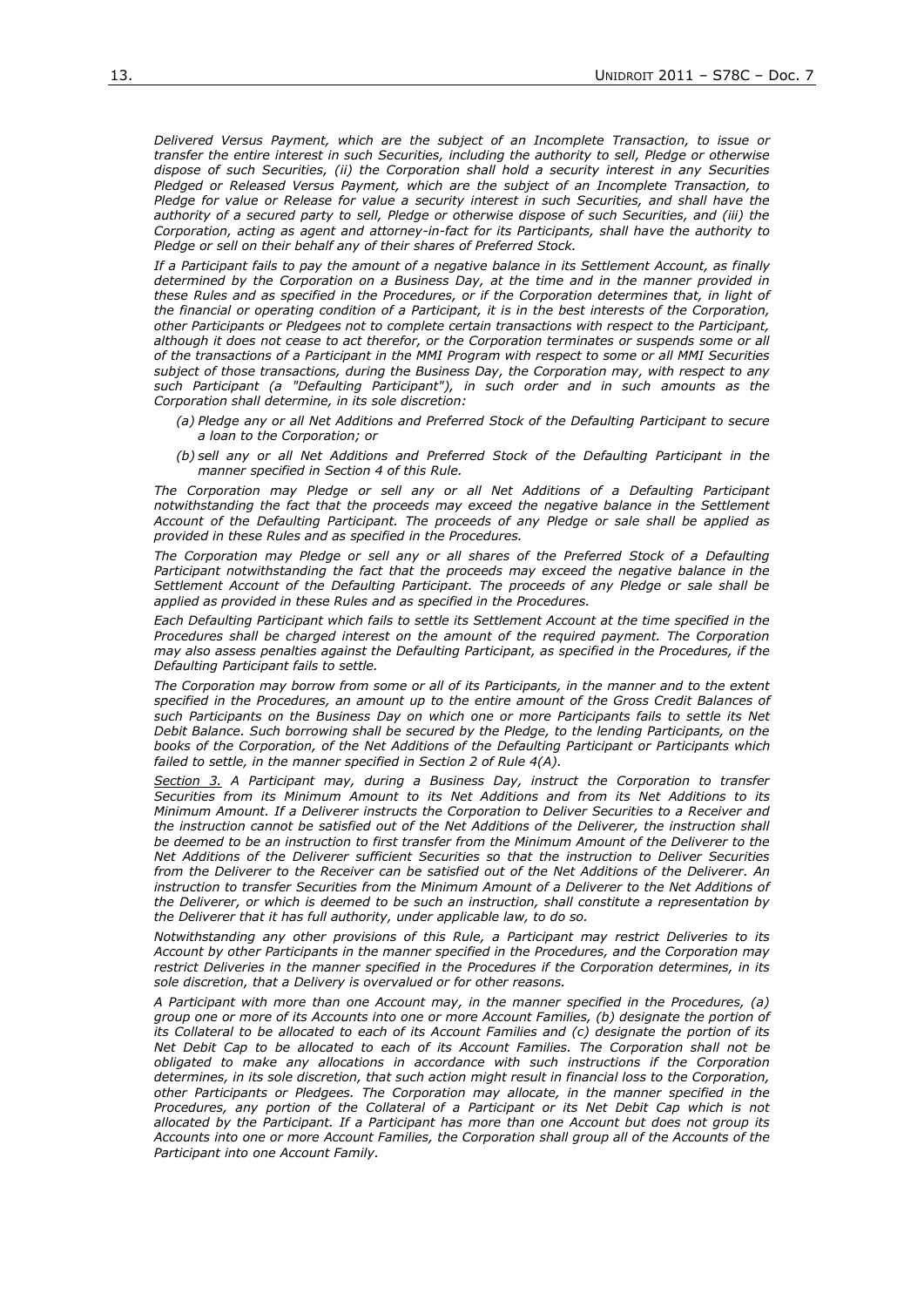*Delivered Versus Payment, which are the subject of an Incomplete Transaction, to issue or transfer the entire interest in such Securities, including the authority to sell, Pledge or otherwise dispose of such Securities, (ii) the Corporation shall hold a security interest in any Securities Pledged or Released Versus Payment, which are the subject of an Incomplete Transaction, to Pledge for value or Release for value a security interest in such Securities, and shall have the authority of a secured party to sell, Pledge or otherwise dispose of such Securities, and (iii) the Corporation, acting as agent and attorney-in-fact for its Participants, shall have the authority to Pledge or sell on their behalf any of their shares of Preferred Stock.*

*If a Participant fails to pay the amount of a negative balance in its Settlement Account, as finally determined by the Corporation on a Business Day, at the time and in the manner provided in these Rules and as specified in the Procedures, or if the Corporation determines that, in light of the financial or operating condition of a Participant, it is in the best interests of the Corporation, other Participants or Pledgees not to complete certain transactions with respect to the Participant, although it does not cease to act therefor, or the Corporation terminates or suspends some or all of the transactions of a Participant in the MMI Program with respect to some or all MMI Securities subject of those transactions, during the Business Day, the Corporation may, with respect to any such Participant (a "Defaulting Participant"), in such order and in such amounts as the Corporation shall determine, in its sole discretion:*

- *(a) Pledge any or all Net Additions and Preferred Stock of the Defaulting Participant to secure a loan to the Corporation; or*
- *(b) sell any or all Net Additions and Preferred Stock of the Defaulting Participant in the manner specified in Section 4 of this Rule.*

*The Corporation may Pledge or sell any or all Net Additions of a Defaulting Participant notwithstanding the fact that the proceeds may exceed the negative balance in the Settlement Account of the Defaulting Participant. The proceeds of any Pledge or sale shall be applied as provided in these Rules and as specified in the Procedures.* 

The Corporation may Pledge or sell any or all shares of the Preferred Stock of a Defaulting *Participant notwithstanding the fact that the proceeds may exceed the negative balance in the Settlement Account of the Defaulting Participant. The proceeds of any Pledge or sale shall be applied as provided in these Rules and as specified in the Procedures.* 

*Each Defaulting Participant which fails to settle its Settlement Account at the time specified in the Procedures shall be charged interest on the amount of the required payment. The Corporation may also assess penalties against the Defaulting Participant, as specified in the Procedures, if the Defaulting Participant fails to settle.*

*The Corporation may borrow from some or all of its Participants, in the manner and to the extent specified in the Procedures, an amount up to the entire amount of the Gross Credit Balances of such Participants on the Business Day on which one or more Participants fails to settle its Net Debit Balance. Such borrowing shall be secured by the Pledge, to the lending Participants, on the books of the Corporation, of the Net Additions of the Defaulting Participant or Participants which failed to settle, in the manner specified in Section 2 of Rule 4(A).*

*Section 3. A Participant may, during a Business Day, instruct the Corporation to transfer Securities from its Minimum Amount to its Net Additions and from its Net Additions to its Minimum Amount. If a Deliverer instructs the Corporation to Deliver Securities to a Receiver and the instruction cannot be satisfied out of the Net Additions of the Deliverer, the instruction shall be deemed to be an instruction to first transfer from the Minimum Amount of the Deliverer to the Net Additions of the Deliverer sufficient Securities so that the instruction to Deliver Securities from the Deliverer to the Receiver can be satisfied out of the Net Additions of the Deliverer. An instruction to transfer Securities from the Minimum Amount of a Deliverer to the Net Additions of the Deliverer, or which is deemed to be such an instruction, shall constitute a representation by the Deliverer that it has full authority, under applicable law, to do so.*

*Notwithstanding any other provisions of this Rule, a Participant may restrict Deliveries to its Account by other Participants in the manner specified in the Procedures, and the Corporation may*  restrict Deliveries in the manner specified in the Procedures if the Corporation determines, in its *sole discretion, that a Delivery is overvalued or for other reasons.* 

*A Participant with more than one Account may, in the manner specified in the Procedures, (a) group one or more of its Accounts into one or more Account Families, (b) designate the portion of its Collateral to be allocated to each of its Account Families and (c) designate the portion of its Net Debit Cap to be allocated to each of its Account Families. The Corporation shall not be obligated to make any allocations in accordance with such instructions if the Corporation determines, in its sole discretion, that such action might result in financial loss to the Corporation, other Participants or Pledgees. The Corporation may allocate, in the manner specified in the Procedures, any portion of the Collateral of a Participant or its Net Debit Cap which is not allocated by the Participant. If a Participant has more than one Account but does not group its Accounts into one or more Account Families, the Corporation shall group all of the Accounts of the Participant into one Account Family.*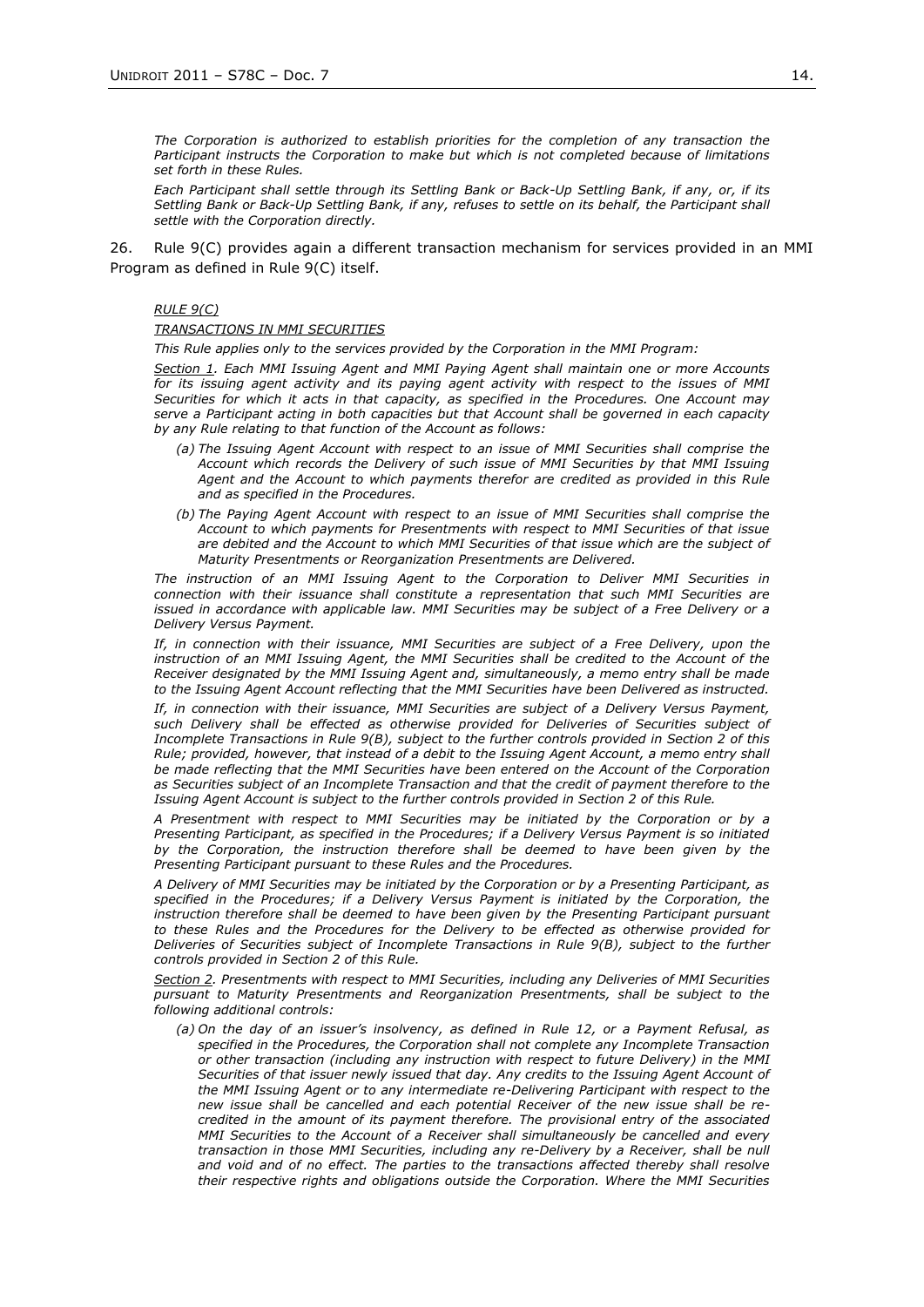*The Corporation is authorized to establish priorities for the completion of any transaction the Participant instructs the Corporation to make but which is not completed because of limitations set forth in these Rules.*

*Each Participant shall settle through its Settling Bank or Back-Up Settling Bank, if any, or, if its Settling Bank or Back-Up Settling Bank, if any, refuses to settle on its behalf, the Participant shall settle with the Corporation directly.*

26. Rule 9(C) provides again a different transaction mechanism for services provided in an MMI Program as defined in Rule 9(C) itself.

## *RULE 9(C)*

### *TRANSACTIONS IN MMI SECURITIES*

*This Rule applies only to the services provided by the Corporation in the MMI Program:*

*Section 1. Each MMI Issuing Agent and MMI Paying Agent shall maintain one or more Accounts for its issuing agent activity and its paying agent activity with respect to the issues of MMI Securities for which it acts in that capacity, as specified in the Procedures. One Account may serve a Participant acting in both capacities but that Account shall be governed in each capacity by any Rule relating to that function of the Account as follows:*

- *(a) The Issuing Agent Account with respect to an issue of MMI Securities shall comprise the Account which records the Delivery of such issue of MMI Securities by that MMI Issuing Agent and the Account to which payments therefor are credited as provided in this Rule and as specified in the Procedures.*
- *(b) The Paying Agent Account with respect to an issue of MMI Securities shall comprise the Account to which payments for Presentments with respect to MMI Securities of that issue are debited and the Account to which MMI Securities of that issue which are the subject of Maturity Presentments or Reorganization Presentments are Delivered.*

*The instruction of an MMI Issuing Agent to the Corporation to Deliver MMI Securities in connection with their issuance shall constitute a representation that such MMI Securities are issued in accordance with applicable law. MMI Securities may be subject of a Free Delivery or a Delivery Versus Payment.*

If, in connection with their issuance, MMI Securities are subject of a Free Delivery, upon the *instruction of an MMI Issuing Agent, the MMI Securities shall be credited to the Account of the Receiver designated by the MMI Issuing Agent and, simultaneously, a memo entry shall be made to the Issuing Agent Account reflecting that the MMI Securities have been Delivered as instructed.*

*If, in connection with their issuance, MMI Securities are subject of a Delivery Versus Payment, such Delivery shall be effected as otherwise provided for Deliveries of Securities subject of Incomplete Transactions in Rule 9(B), subject to the further controls provided in Section 2 of this Rule; provided, however, that instead of a debit to the Issuing Agent Account, a memo entry shall be made reflecting that the MMI Securities have been entered on the Account of the Corporation as Securities subject of an Incomplete Transaction and that the credit of payment therefore to the Issuing Agent Account is subject to the further controls provided in Section 2 of this Rule.*

*A Presentment with respect to MMI Securities may be initiated by the Corporation or by a Presenting Participant, as specified in the Procedures; if a Delivery Versus Payment is so initiated by the Corporation, the instruction therefore shall be deemed to have been given by the Presenting Participant pursuant to these Rules and the Procedures.*

*A Delivery of MMI Securities may be initiated by the Corporation or by a Presenting Participant, as specified in the Procedures; if a Delivery Versus Payment is initiated by the Corporation, the instruction therefore shall be deemed to have been given by the Presenting Participant pursuant to these Rules and the Procedures for the Delivery to be effected as otherwise provided for Deliveries of Securities subject of Incomplete Transactions in Rule 9(B), subject to the further controls provided in Section 2 of this Rule.*

*Section 2. Presentments with respect to MMI Securities, including any Deliveries of MMI Securities pursuant to Maturity Presentments and Reorganization Presentments, shall be subject to the following additional controls:* 

*(a) On the day of an issuer's insolvency, as defined in Rule 12, or a Payment Refusal, as specified in the Procedures, the Corporation shall not complete any Incomplete Transaction or other transaction (including any instruction with respect to future Delivery) in the MMI Securities of that issuer newly issued that day. Any credits to the Issuing Agent Account of the MMI Issuing Agent or to any intermediate re-Delivering Participant with respect to the new issue shall be cancelled and each potential Receiver of the new issue shall be recredited in the amount of its payment therefore. The provisional entry of the associated MMI Securities to the Account of a Receiver shall simultaneously be cancelled and every transaction in those MMI Securities, including any re-Delivery by a Receiver, shall be null and void and of no effect. The parties to the transactions affected thereby shall resolve their respective rights and obligations outside the Corporation. Where the MMI Securities*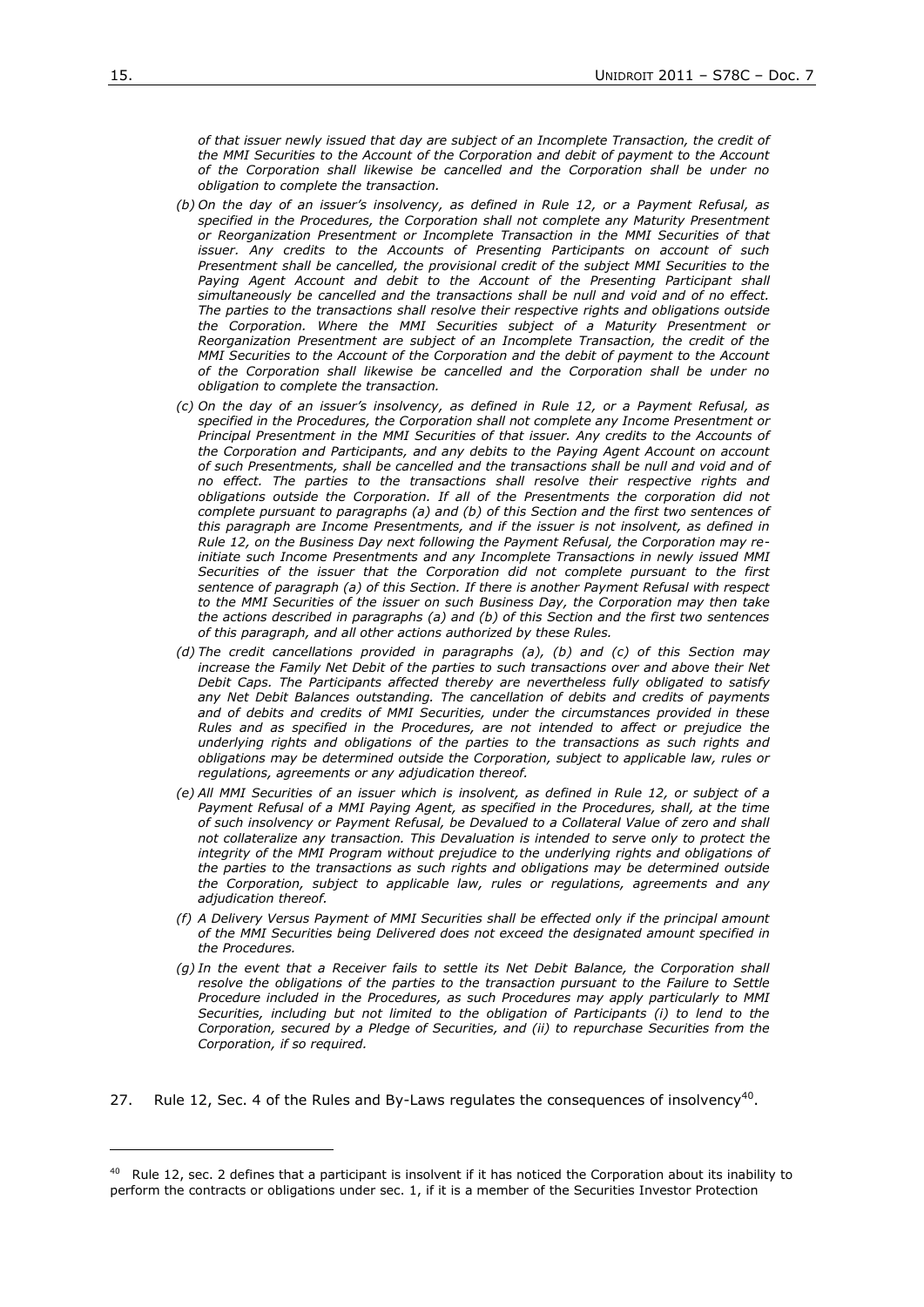*of that issuer newly issued that day are subject of an Incomplete Transaction, the credit of the MMI Securities to the Account of the Corporation and debit of payment to the Account of the Corporation shall likewise be cancelled and the Corporation shall be under no obligation to complete the transaction.*

- *(b) On the day of an issuer's insolvency, as defined in Rule 12, or a Payment Refusal, as specified in the Procedures, the Corporation shall not complete any Maturity Presentment or Reorganization Presentment or Incomplete Transaction in the MMI Securities of that issuer. Any credits to the Accounts of Presenting Participants on account of such Presentment shall be cancelled, the provisional credit of the subject MMI Securities to the*  Paying Agent Account and debit to the Account of the Presenting Participant shall *simultaneously be cancelled and the transactions shall be null and void and of no effect. The parties to the transactions shall resolve their respective rights and obligations outside the Corporation. Where the MMI Securities subject of a Maturity Presentment or Reorganization Presentment are subject of an Incomplete Transaction, the credit of the MMI Securities to the Account of the Corporation and the debit of payment to the Account of the Corporation shall likewise be cancelled and the Corporation shall be under no obligation to complete the transaction.*
- *(c) On the day of an issuer's insolvency, as defined in Rule 12, or a Payment Refusal, as specified in the Procedures, the Corporation shall not complete any Income Presentment or*  Principal Presentment in the MMI Securities of that issuer. Any credits to the Accounts of *the Corporation and Participants, and any debits to the Paying Agent Account on account of such Presentments, shall be cancelled and the transactions shall be null and void and of no effect. The parties to the transactions shall resolve their respective rights and obligations outside the Corporation. If all of the Presentments the corporation did not complete pursuant to paragraphs (a) and (b) of this Section and the first two sentences of this paragraph are Income Presentments, and if the issuer is not insolvent, as defined in Rule 12, on the Business Day next following the Payment Refusal, the Corporation may reinitiate such Income Presentments and any Incomplete Transactions in newly issued MMI Securities of the issuer that the Corporation did not complete pursuant to the first sentence of paragraph (a) of this Section. If there is another Payment Refusal with respect to the MMI Securities of the issuer on such Business Day, the Corporation may then take the actions described in paragraphs (a) and (b) of this Section and the first two sentences of this paragraph, and all other actions authorized by these Rules.*
- *(d) The credit cancellations provided in paragraphs (a), (b) and (c) of this Section may increase the Family Net Debit of the parties to such transactions over and above their Net Debit Caps. The Participants affected thereby are nevertheless fully obligated to satisfy any Net Debit Balances outstanding. The cancellation of debits and credits of payments and of debits and credits of MMI Securities, under the circumstances provided in these Rules and as specified in the Procedures, are not intended to affect or prejudice the underlying rights and obligations of the parties to the transactions as such rights and obligations may be determined outside the Corporation, subject to applicable law, rules or regulations, agreements or any adjudication thereof.*
- *(e) All MMI Securities of an issuer which is insolvent, as defined in Rule 12, or subject of a*  Payment Refusal of a MMI Paying Agent, as specified in the Procedures, shall, at the time *of such insolvency or Payment Refusal, be Devalued to a Collateral Value of zero and shall not collateralize any transaction. This Devaluation is intended to serve only to protect the*  integrity of the MMI Program without prejudice to the underlying rights and obligations of *the parties to the transactions as such rights and obligations may be determined outside the Corporation, subject to applicable law, rules or regulations, agreements and any adjudication thereof.*
- *(f) A Delivery Versus Payment of MMI Securities shall be effected only if the principal amount of the MMI Securities being Delivered does not exceed the designated amount specified in the Procedures.*
- *(g) In the event that a Receiver fails to settle its Net Debit Balance, the Corporation shall*  resolve the obligations of the parties to the transaction pursuant to the Failure to Settle *Procedure included in the Procedures, as such Procedures may apply particularly to MMI Securities, including but not limited to the obligation of Participants (i) to lend to the Corporation, secured by a Pledge of Securities, and (ii) to repurchase Securities from the Corporation, if so required.*
- 27. Rule 12, Sec. 4 of the Rules and By-Laws regulates the consequences of insolvency<sup>40</sup>.

1

<sup>&</sup>lt;sup>40</sup> Rule 12, sec. 2 defines that a participant is insolvent if it has noticed the Corporation about its inability to perform the contracts or obligations under sec. 1, if it is a member of the Securities Investor Protection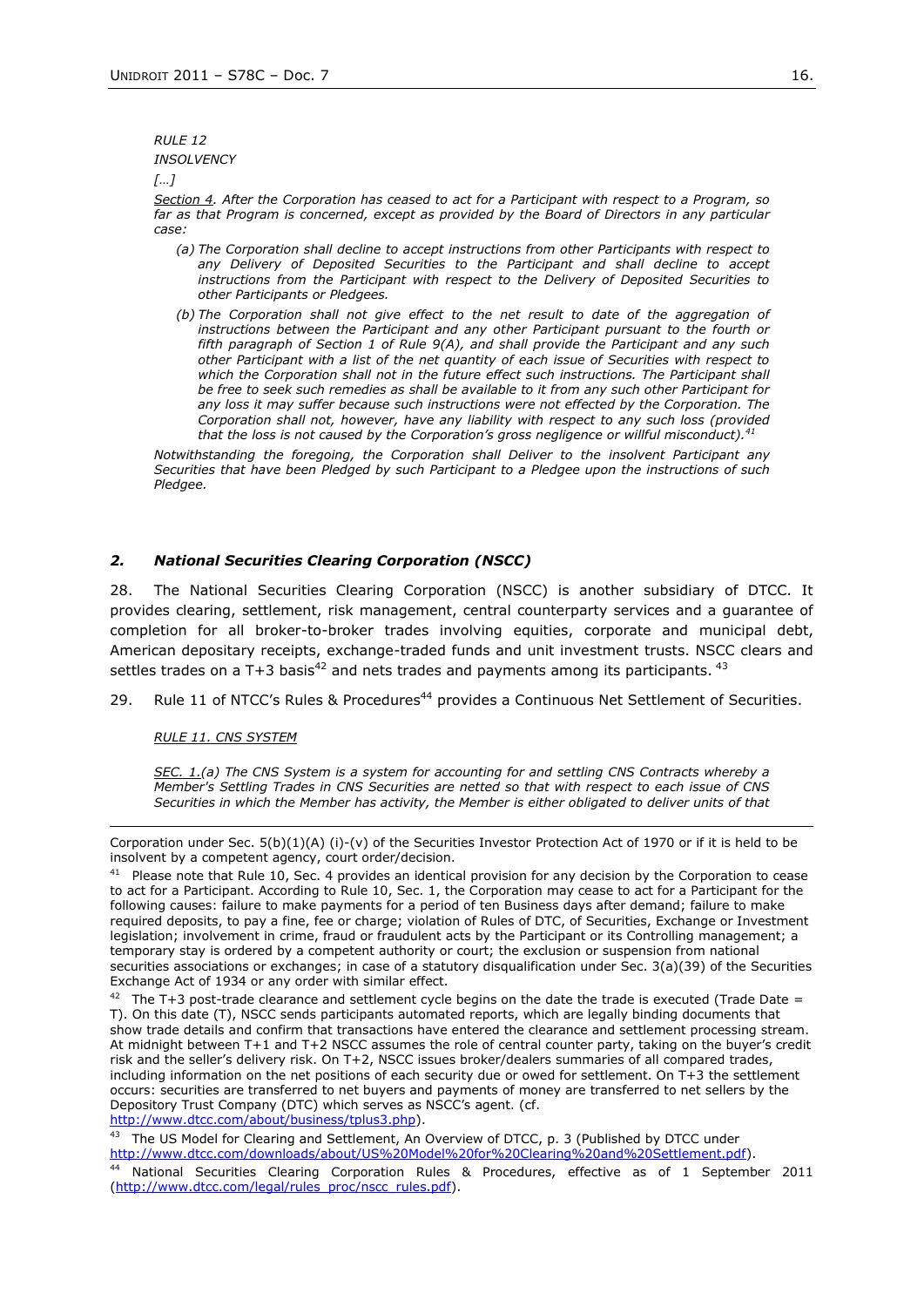*RULE 12*

*INSOLVENCY*

*[…]*

*Section 4. After the Corporation has ceased to act for a Participant with respect to a Program, so far as that Program is concerned, except as provided by the Board of Directors in any particular case:*

- *(a) The Corporation shall decline to accept instructions from other Participants with respect to any Delivery of Deposited Securities to the Participant and shall decline to accept instructions from the Participant with respect to the Delivery of Deposited Securities to other Participants or Pledgees.*
- *(b) The Corporation shall not give effect to the net result to date of the aggregation of instructions between the Participant and any other Participant pursuant to the fourth or fifth paragraph of Section 1 of Rule 9(A), and shall provide the Participant and any such other Participant with a list of the net quantity of each issue of Securities with respect to* which the Corporation shall not in the future effect such instructions. The Participant shall *be free to seek such remedies as shall be available to it from any such other Participant for any loss it may suffer because such instructions were not effected by the Corporation. The Corporation shall not, however, have any liability with respect to any such loss (provided that the loss is not caused by the Corporation's gross negligence or willful misconduct).<sup>41</sup>*

*Notwithstanding the foregoing, the Corporation shall Deliver to the insolvent Participant any Securities that have been Pledged by such Participant to a Pledgee upon the instructions of such Pledgee.*

## *2. National Securities Clearing Corporation (NSCC)*

28. The National Securities Clearing Corporation (NSCC) is another subsidiary of DTCC. It provides clearing, settlement, risk management, central counterparty services and a guarantee of completion for all broker-to-broker trades involving equities, corporate and municipal debt, American depositary receipts, exchange-traded funds and unit investment trusts. NSCC clears and settles trades on a T+3 basis<sup>42</sup> and nets trades and payments among its participants.  $43$ 

29. Rule 11 of NTCC's Rules & Procedures<sup>44</sup> provides a Continuous Net Settlement of Securities.

## *RULE 11. CNS SYSTEM*

*SEC. 1.(a) The CNS System is a system for accounting for and settling CNS Contracts whereby a Member's Settling Trades in CNS Securities are netted so that with respect to each issue of CNS Securities in which the Member has activity, the Member is either obligated to deliver units of that* 

[http://www.dtcc.com/about/business/tplus3.php\)](http://www.dtcc.com/about/business/tplus3.php).

 $43$  The US Model for Clearing and Settlement, An Overview of DTCC, p. 3 (Published by DTCC under [http://www.dtcc.com/downloads/about/US%20Model%20for%20Clearing%20and%20Settlement.pdf\)](http://www.dtcc.com/downloads/about/US%20Model%20for%20Clearing%20and%20Settlement.pdf).

Corporation under Sec.  $5(b)(1)(A)$  (i)-(v) of the Securities Investor Protection Act of 1970 or if it is held to be insolvent by a competent agency, court order/decision.

 $41$  Please note that Rule 10, Sec. 4 provides an identical provision for any decision by the Corporation to cease to act for a Participant. According to Rule 10, Sec. 1, the Corporation may cease to act for a Participant for the following causes: failure to make payments for a period of ten Business days after demand; failure to make required deposits, to pay a fine, fee or charge; violation of Rules of DTC, of Securities, Exchange or Investment legislation; involvement in crime, fraud or fraudulent acts by the Participant or its Controlling management; a temporary stay is ordered by a competent authority or court; the exclusion or suspension from national securities associations or exchanges; in case of a statutory disqualification under Sec. 3(a)(39) of the Securities Exchange Act of 1934 or any order with similar effect.

 $42$  The T+3 post-trade clearance and settlement cycle begins on the date the trade is executed (Trade Date = T). On this date (T), NSCC sends participants automated reports, which are legally binding documents that show trade details and confirm that transactions have entered the clearance and settlement processing stream. At midnight between T+1 and T+2 NSCC assumes the role of central counter party, taking on the buyer's credit risk and the seller's delivery risk. On T+2, NSCC issues broker/dealers summaries of all compared trades, including information on the net positions of each security due or owed for settlement. On T+3 the settlement occurs: securities are transferred to net buyers and payments of money are transferred to net sellers by the Depository Trust Company (DTC) which serves as NSCC's agent. (cf.

<sup>44</sup> National Securities Clearing Corporation Rules & Procedures, effective as of 1 September 2011 [\(http://www.dtcc.com/legal/rules\\_proc/nscc\\_rules.pdf\)](http://www.dtcc.com/legal/rules_proc/nscc_rules.pdf).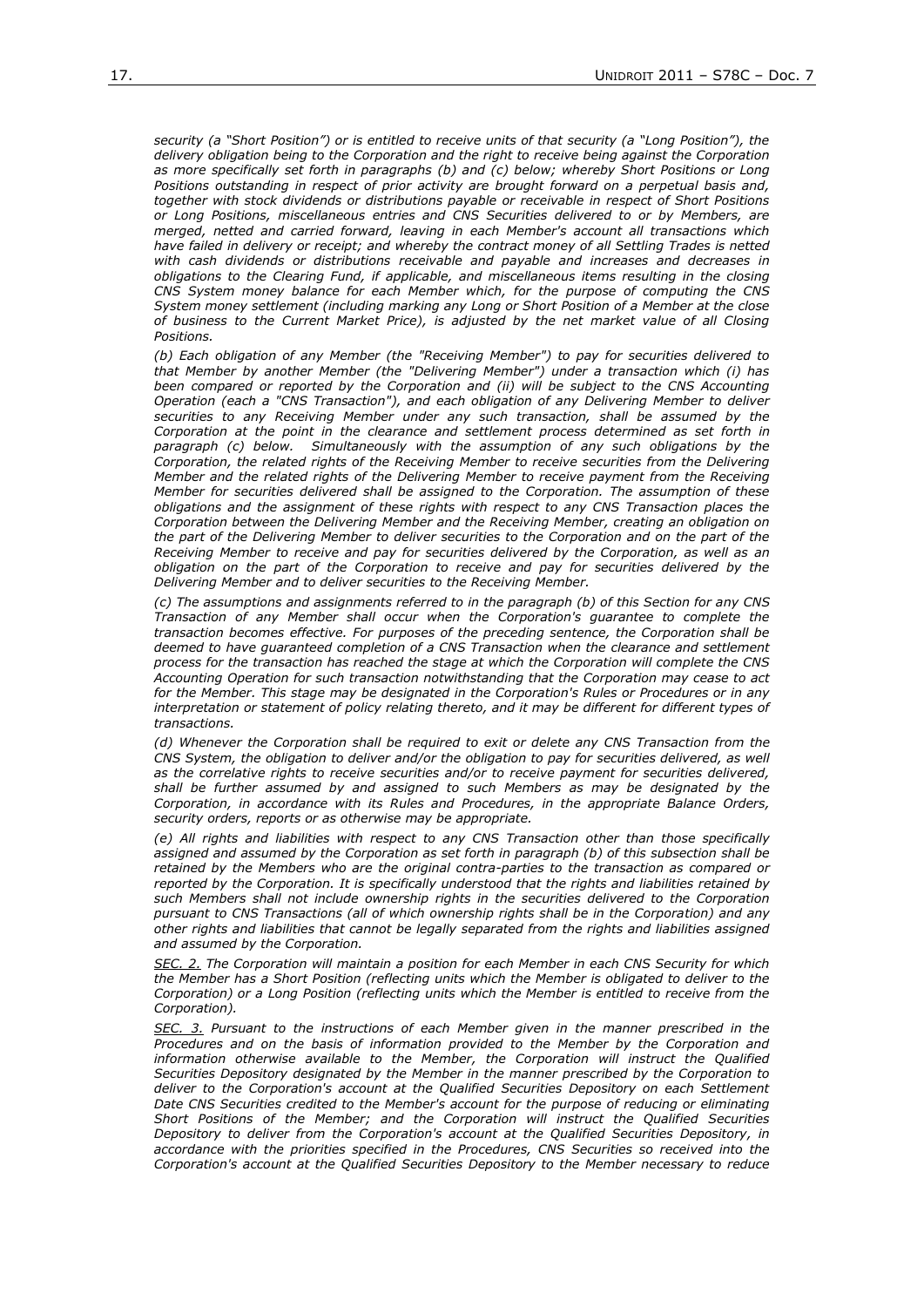*security (a "Short Position") or is entitled to receive units of that security (a "Long Position"), the delivery obligation being to the Corporation and the right to receive being against the Corporation as more specifically set forth in paragraphs (b) and (c) below; whereby Short Positions or Long Positions outstanding in respect of prior activity are brought forward on a perpetual basis and, together with stock dividends or distributions payable or receivable in respect of Short Positions or Long Positions, miscellaneous entries and CNS Securities delivered to or by Members, are merged, netted and carried forward, leaving in each Member's account all transactions which have failed in delivery or receipt; and whereby the contract money of all Settling Trades is netted with cash dividends or distributions receivable and payable and increases and decreases in obligations to the Clearing Fund, if applicable, and miscellaneous items resulting in the closing CNS System money balance for each Member which, for the purpose of computing the CNS System money settlement (including marking any Long or Short Position of a Member at the close of business to the Current Market Price), is adjusted by the net market value of all Closing Positions.*

*(b) Each obligation of any Member (the "Receiving Member") to pay for securities delivered to that Member by another Member (the "Delivering Member") under a transaction which (i) has been compared or reported by the Corporation and (ii) will be subject to the CNS Accounting Operation (each a "CNS Transaction"), and each obligation of any Delivering Member to deliver securities to any Receiving Member under any such transaction, shall be assumed by the*  Corporation at the point in the clearance and settlement process determined as set forth in *paragraph (c) below. Simultaneously with the assumption of any such obligations by the Corporation, the related rights of the Receiving Member to receive securities from the Delivering Member and the related rights of the Delivering Member to receive payment from the Receiving Member for securities delivered shall be assigned to the Corporation. The assumption of these obligations and the assignment of these rights with respect to any CNS Transaction places the Corporation between the Delivering Member and the Receiving Member, creating an obligation on*  the part of the Delivering Member to deliver securities to the Corporation and on the part of the *Receiving Member to receive and pay for securities delivered by the Corporation, as well as an obligation on the part of the Corporation to receive and pay for securities delivered by the Delivering Member and to deliver securities to the Receiving Member.*

*(c) The assumptions and assignments referred to in the paragraph (b) of this Section for any CNS Transaction of any Member shall occur when the Corporation's guarantee to complete the transaction becomes effective. For purposes of the preceding sentence, the Corporation shall be deemed to have guaranteed completion of a CNS Transaction when the clearance and settlement process for the transaction has reached the stage at which the Corporation will complete the CNS Accounting Operation for such transaction notwithstanding that the Corporation may cease to act for the Member. This stage may be designated in the Corporation's Rules or Procedures or in any interpretation or statement of policy relating thereto, and it may be different for different types of transactions.*

*(d) Whenever the Corporation shall be required to exit or delete any CNS Transaction from the CNS System, the obligation to deliver and/or the obligation to pay for securities delivered, as well as the correlative rights to receive securities and/or to receive payment for securities delivered, shall be further assumed by and assigned to such Members as may be designated by the Corporation, in accordance with its Rules and Procedures, in the appropriate Balance Orders, security orders, reports or as otherwise may be appropriate.*

*(e) All rights and liabilities with respect to any CNS Transaction other than those specifically assigned and assumed by the Corporation as set forth in paragraph (b) of this subsection shall be retained by the Members who are the original contra-parties to the transaction as compared or reported by the Corporation. It is specifically understood that the rights and liabilities retained by such Members shall not include ownership rights in the securities delivered to the Corporation pursuant to CNS Transactions (all of which ownership rights shall be in the Corporation) and any other rights and liabilities that cannot be legally separated from the rights and liabilities assigned and assumed by the Corporation.*

*SEC. 2. The Corporation will maintain a position for each Member in each CNS Security for which the Member has a Short Position (reflecting units which the Member is obligated to deliver to the Corporation) or a Long Position (reflecting units which the Member is entitled to receive from the Corporation).*

*SEC. 3. Pursuant to the instructions of each Member given in the manner prescribed in the Procedures and on the basis of information provided to the Member by the Corporation and*  information otherwise available to the Member, the Corporation will instruct the Qualified *Securities Depository designated by the Member in the manner prescribed by the Corporation to deliver to the Corporation's account at the Qualified Securities Depository on each Settlement Date CNS Securities credited to the Member's account for the purpose of reducing or eliminating Short Positions of the Member; and the Corporation will instruct the Qualified Securities Depository to deliver from the Corporation's account at the Qualified Securities Depository, in accordance with the priorities specified in the Procedures, CNS Securities so received into the Corporation's account at the Qualified Securities Depository to the Member necessary to reduce*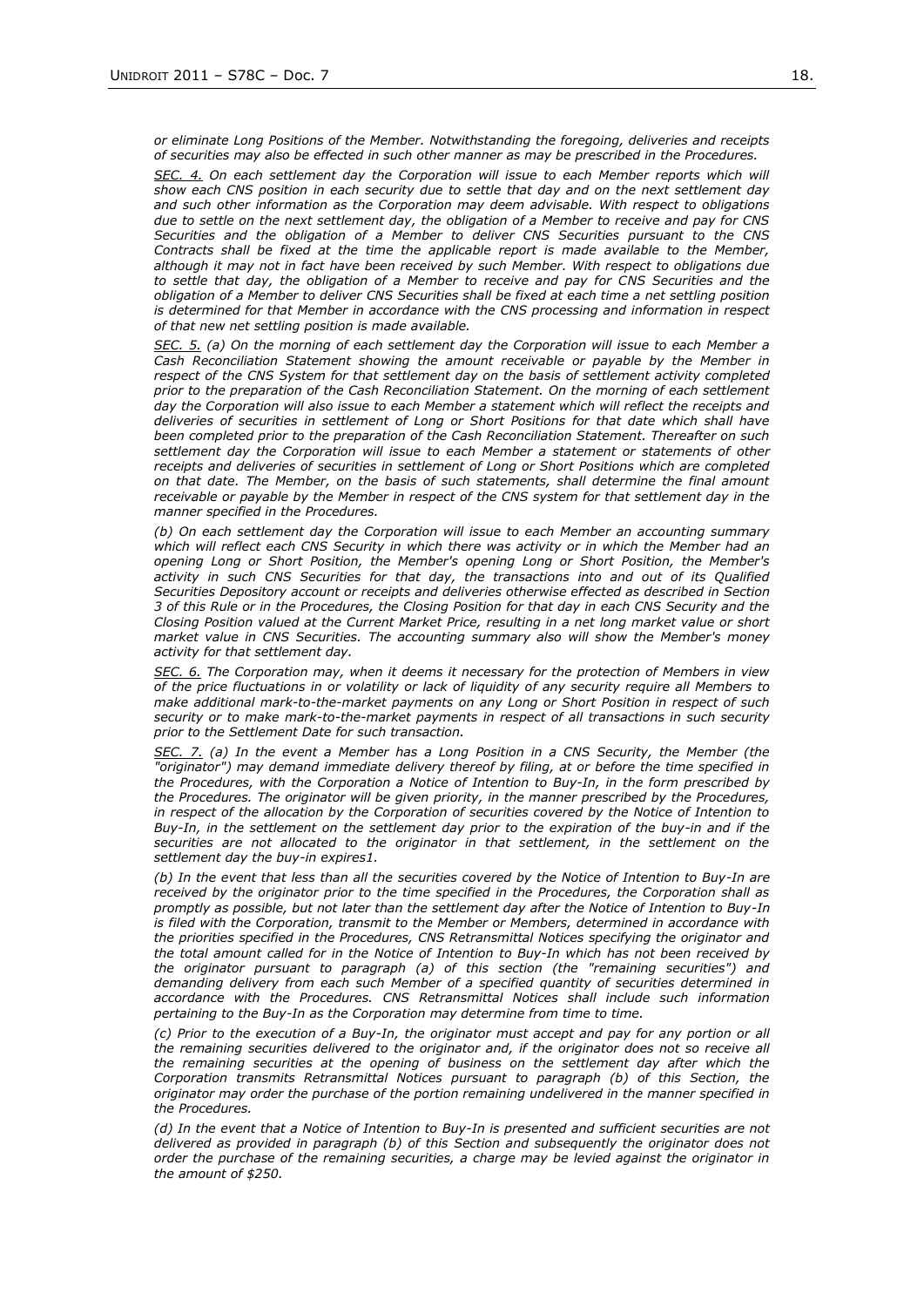*or eliminate Long Positions of the Member. Notwithstanding the foregoing, deliveries and receipts of securities may also be effected in such other manner as may be prescribed in the Procedures.*

*SEC. 4. On each settlement day the Corporation will issue to each Member reports which will show each CNS position in each security due to settle that day and on the next settlement day and such other information as the Corporation may deem advisable. With respect to obligations due to settle on the next settlement day, the obligation of a Member to receive and pay for CNS Securities and the obligation of a Member to deliver CNS Securities pursuant to the CNS Contracts shall be fixed at the time the applicable report is made available to the Member, although it may not in fact have been received by such Member. With respect to obligations due to settle that day, the obligation of a Member to receive and pay for CNS Securities and the obligation of a Member to deliver CNS Securities shall be fixed at each time a net settling position is determined for that Member in accordance with the CNS processing and information in respect of that new net settling position is made available.*

*SEC. 5. (a) On the morning of each settlement day the Corporation will issue to each Member a Cash Reconciliation Statement showing the amount receivable or payable by the Member in respect of the CNS System for that settlement day on the basis of settlement activity completed prior to the preparation of the Cash Reconciliation Statement. On the morning of each settlement*  day the Corporation will also issue to each Member a statement which will reflect the receipts and *deliveries of securities in settlement of Long or Short Positions for that date which shall have been completed prior to the preparation of the Cash Reconciliation Statement. Thereafter on such settlement day the Corporation will issue to each Member a statement or statements of other receipts and deliveries of securities in settlement of Long or Short Positions which are completed on that date. The Member, on the basis of such statements, shall determine the final amount receivable or payable by the Member in respect of the CNS system for that settlement day in the manner specified in the Procedures.*

*(b) On each settlement day the Corporation will issue to each Member an accounting summary which will reflect each CNS Security in which there was activity or in which the Member had an opening Long or Short Position, the Member's opening Long or Short Position, the Member's activity in such CNS Securities for that day, the transactions into and out of its Qualified Securities Depository account or receipts and deliveries otherwise effected as described in Section 3 of this Rule or in the Procedures, the Closing Position for that day in each CNS Security and the Closing Position valued at the Current Market Price, resulting in a net long market value or short market value in CNS Securities. The accounting summary also will show the Member's money activity for that settlement day.*

*SEC. 6. The Corporation may, when it deems it necessary for the protection of Members in view of the price fluctuations in or volatility or lack of liquidity of any security require all Members to make additional mark-to-the-market payments on any Long or Short Position in respect of such security or to make mark-to-the-market payments in respect of all transactions in such security prior to the Settlement Date for such transaction.*

*SEC. 7. (a) In the event a Member has a Long Position in a CNS Security, the Member (the "originator") may demand immediate delivery thereof by filing, at or before the time specified in the Procedures, with the Corporation a Notice of Intention to Buy-In, in the form prescribed by the Procedures. The originator will be given priority, in the manner prescribed by the Procedures, in respect of the allocation by the Corporation of securities covered by the Notice of Intention to Buy-In, in the settlement on the settlement day prior to the expiration of the buy-in and if the securities are not allocated to the originator in that settlement, in the settlement on the settlement day the buy-in expires1.*

*(b) In the event that less than all the securities covered by the Notice of Intention to Buy-In are received by the originator prior to the time specified in the Procedures, the Corporation shall as promptly as possible, but not later than the settlement day after the Notice of Intention to Buy-In is filed with the Corporation, transmit to the Member or Members, determined in accordance with the priorities specified in the Procedures, CNS Retransmittal Notices specifying the originator and the total amount called for in the Notice of Intention to Buy-In which has not been received by the originator pursuant to paragraph (a) of this section (the "remaining securities") and demanding delivery from each such Member of a specified quantity of securities determined in accordance with the Procedures. CNS Retransmittal Notices shall include such information pertaining to the Buy-In as the Corporation may determine from time to time.*

*(c) Prior to the execution of a Buy-In, the originator must accept and pay for any portion or all the remaining securities delivered to the originator and, if the originator does not so receive all the remaining securities at the opening of business on the settlement day after which the Corporation transmits Retransmittal Notices pursuant to paragraph (b) of this Section, the originator may order the purchase of the portion remaining undelivered in the manner specified in the Procedures.*

*(d) In the event that a Notice of Intention to Buy-In is presented and sufficient securities are not delivered as provided in paragraph (b) of this Section and subsequently the originator does not order the purchase of the remaining securities, a charge may be levied against the originator in the amount of \$250.*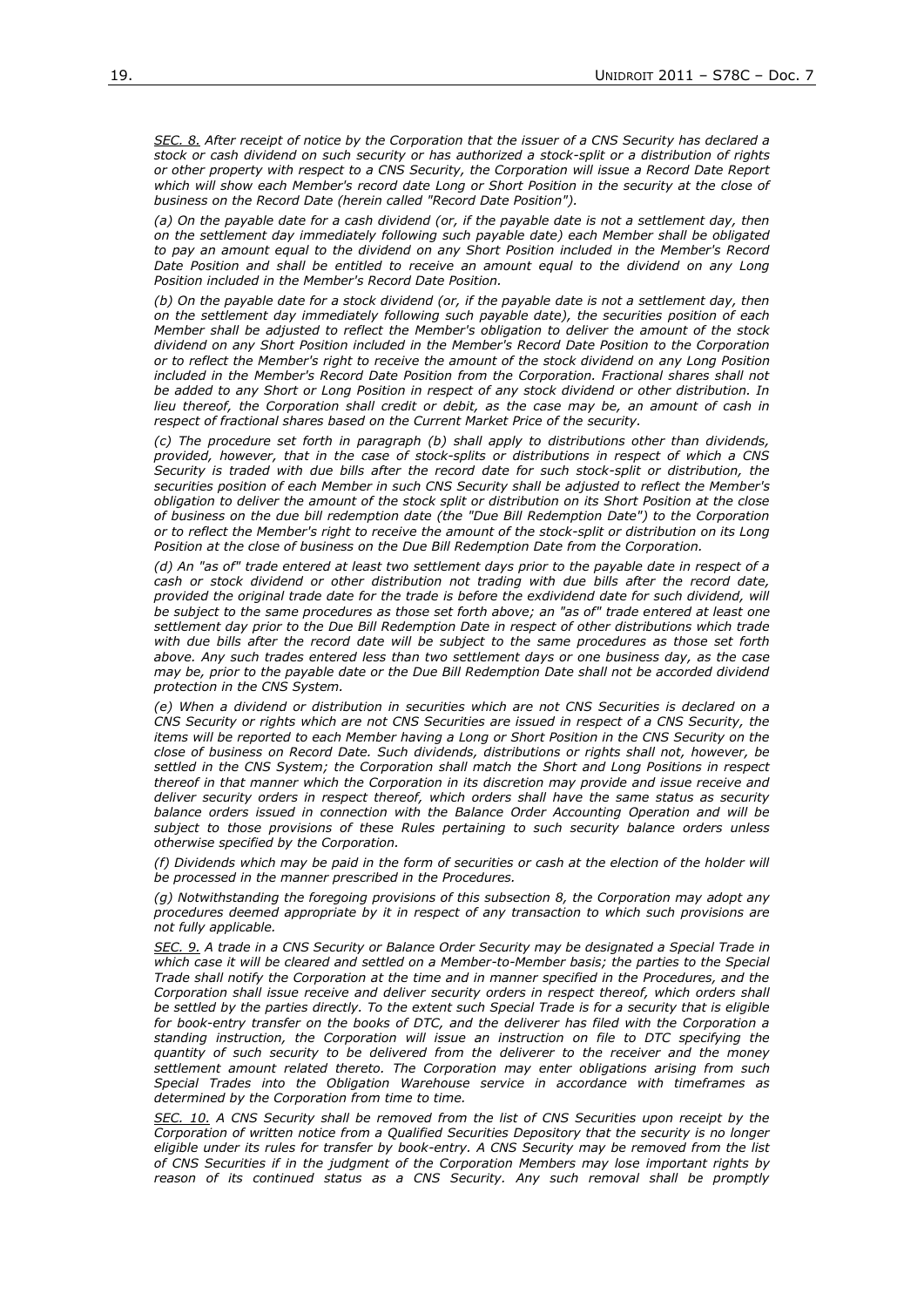*SEC. 8. After receipt of notice by the Corporation that the issuer of a CNS Security has declared a stock or cash dividend on such security or has authorized a stock-split or a distribution of rights or other property with respect to a CNS Security, the Corporation will issue a Record Date Report which will show each Member's record date Long or Short Position in the security at the close of business on the Record Date (herein called "Record Date Position").*

*(a) On the payable date for a cash dividend (or, if the payable date is not a settlement day, then on the settlement day immediately following such payable date) each Member shall be obligated to pay an amount equal to the dividend on any Short Position included in the Member's Record Date Position and shall be entitled to receive an amount equal to the dividend on any Long Position included in the Member's Record Date Position.*

*(b) On the payable date for a stock dividend (or, if the payable date is not a settlement day, then on the settlement day immediately following such payable date), the securities position of each Member shall be adjusted to reflect the Member's obligation to deliver the amount of the stock dividend on any Short Position included in the Member's Record Date Position to the Corporation or to reflect the Member's right to receive the amount of the stock dividend on any Long Position included in the Member's Record Date Position from the Corporation. Fractional shares shall not be added to any Short or Long Position in respect of any stock dividend or other distribution. In lieu thereof, the Corporation shall credit or debit, as the case may be, an amount of cash in respect of fractional shares based on the Current Market Price of the security.*

*(c) The procedure set forth in paragraph (b) shall apply to distributions other than dividends, provided, however, that in the case of stock-splits or distributions in respect of which a CNS Security is traded with due bills after the record date for such stock-split or distribution, the securities position of each Member in such CNS Security shall be adjusted to reflect the Member's obligation to deliver the amount of the stock split or distribution on its Short Position at the close of business on the due bill redemption date (the "Due Bill Redemption Date") to the Corporation or to reflect the Member's right to receive the amount of the stock-split or distribution on its Long Position at the close of business on the Due Bill Redemption Date from the Corporation.*

*(d) An "as of" trade entered at least two settlement days prior to the payable date in respect of a cash or stock dividend or other distribution not trading with due bills after the record date, provided the original trade date for the trade is before the exdividend date for such dividend, will be subject to the same procedures as those set forth above; an "as of" trade entered at least one settlement day prior to the Due Bill Redemption Date in respect of other distributions which trade with due bills after the record date will be subject to the same procedures as those set forth above. Any such trades entered less than two settlement days or one business day, as the case may be, prior to the payable date or the Due Bill Redemption Date shall not be accorded dividend protection in the CNS System.*

*(e) When a dividend or distribution in securities which are not CNS Securities is declared on a CNS Security or rights which are not CNS Securities are issued in respect of a CNS Security, the items will be reported to each Member having a Long or Short Position in the CNS Security on the close of business on Record Date. Such dividends, distributions or rights shall not, however, be settled in the CNS System; the Corporation shall match the Short and Long Positions in respect thereof in that manner which the Corporation in its discretion may provide and issue receive and deliver security orders in respect thereof, which orders shall have the same status as security balance orders issued in connection with the Balance Order Accounting Operation and will be subject to those provisions of these Rules pertaining to such security balance orders unless otherwise specified by the Corporation.*

*(f) Dividends which may be paid in the form of securities or cash at the election of the holder will be processed in the manner prescribed in the Procedures.* 

*(g) Notwithstanding the foregoing provisions of this subsection 8, the Corporation may adopt any procedures deemed appropriate by it in respect of any transaction to which such provisions are not fully applicable.*

*SEC. 9. A trade in a CNS Security or Balance Order Security may be designated a Special Trade in*  which case it will be cleared and settled on a Member-to-Member basis; the parties to the Special *Trade shall notify the Corporation at the time and in manner specified in the Procedures, and the Corporation shall issue receive and deliver security orders in respect thereof, which orders shall be settled by the parties directly. To the extent such Special Trade is for a security that is eligible*  for book-entry transfer on the books of DTC, and the deliverer has filed with the Corporation a *standing instruction, the Corporation will issue an instruction on file to DTC specifying the quantity of such security to be delivered from the deliverer to the receiver and the money settlement amount related thereto. The Corporation may enter obligations arising from such Special Trades into the Obligation Warehouse service in accordance with timeframes as determined by the Corporation from time to time.*

*SEC. 10. A CNS Security shall be removed from the list of CNS Securities upon receipt by the Corporation of written notice from a Qualified Securities Depository that the security is no longer eligible under its rules for transfer by book-entry. A CNS Security may be removed from the list of CNS Securities if in the judgment of the Corporation Members may lose important rights by reason of its continued status as a CNS Security. Any such removal shall be promptly*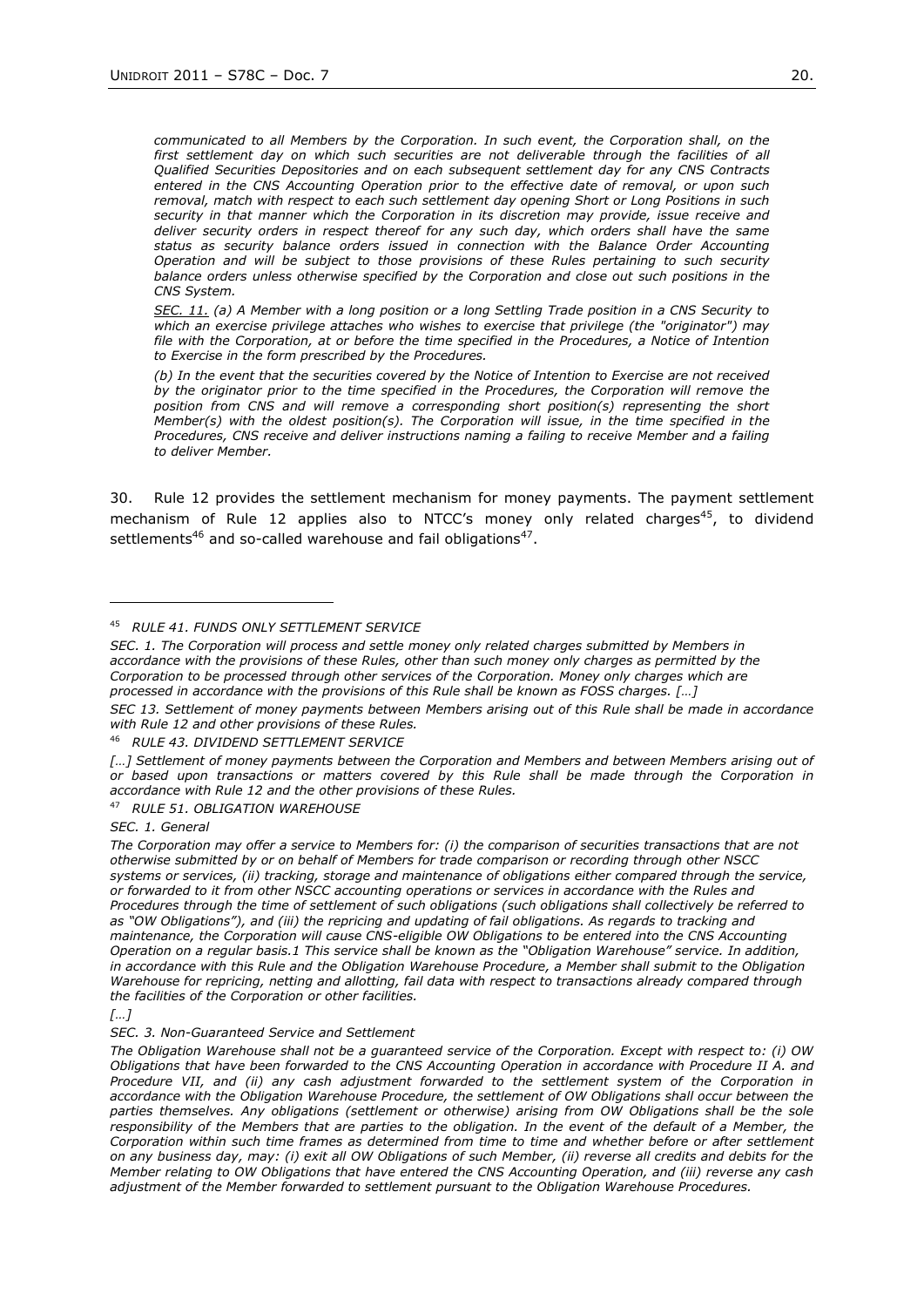*communicated to all Members by the Corporation. In such event, the Corporation shall, on the*  first settlement day on which such securities are not deliverable through the facilities of all *Qualified Securities Depositories and on each subsequent settlement day for any CNS Contracts entered in the CNS Accounting Operation prior to the effective date of removal, or upon such removal, match with respect to each such settlement day opening Short or Long Positions in such security in that manner which the Corporation in its discretion may provide, issue receive and deliver security orders in respect thereof for any such day, which orders shall have the same status as security balance orders issued in connection with the Balance Order Accounting Operation and will be subject to those provisions of these Rules pertaining to such security balance orders unless otherwise specified by the Corporation and close out such positions in the CNS System.* 

*SEC. 11. (a) A Member with a long position or a long Settling Trade position in a CNS Security to which an exercise privilege attaches who wishes to exercise that privilege (the "originator") may file with the Corporation, at or before the time specified in the Procedures, a Notice of Intention to Exercise in the form prescribed by the Procedures.*

*(b) In the event that the securities covered by the Notice of Intention to Exercise are not received by the originator prior to the time specified in the Procedures, the Corporation will remove the position from CNS and will remove a corresponding short position(s) representing the short Member(s) with the oldest position(s). The Corporation will issue, in the time specified in the Procedures, CNS receive and deliver instructions naming a failing to receive Member and a failing to deliver Member.*

30. Rule 12 provides the settlement mechanism for money payments. The payment settlement mechanism of Rule 12 applies also to NTCC's money only related charges<sup>45</sup>, to dividend settlements<sup>46</sup> and so-called warehouse and fail obligations<sup>47</sup>.

*SEC. 1. The Corporation will process and settle money only related charges submitted by Members in accordance with the provisions of these Rules, other than such money only charges as permitted by the Corporation to be processed through other services of the Corporation. Money only charges which are processed in accordance with the provisions of this Rule shall be known as FOSS charges. […]*

*SEC 13. Settlement of money payments between Members arising out of this Rule shall be made in accordance with Rule 12 and other provisions of these Rules.*

<sup>46</sup> *RULE 43. DIVIDEND SETTLEMENT SERVICE*

*[…] Settlement of money payments between the Corporation and Members and between Members arising out of or based upon transactions or matters covered by this Rule shall be made through the Corporation in accordance with Rule 12 and the other provisions of these Rules.*

<sup>47</sup> *RULE 51. OBLIGATION WAREHOUSE*

*SEC. 1. General*

*The Corporation may offer a service to Members for: (i) the comparison of securities transactions that are not otherwise submitted by or on behalf of Members for trade comparison or recording through other NSCC systems or services, (ii) tracking, storage and maintenance of obligations either compared through the service, or forwarded to it from other NSCC accounting operations or services in accordance with the Rules and Procedures through the time of settlement of such obligations (such obligations shall collectively be referred to as "OW Obligations"), and (iii) the repricing and updating of fail obligations. As regards to tracking and maintenance, the Corporation will cause CNS-eligible OW Obligations to be entered into the CNS Accounting Operation on a regular basis.1 This service shall be known as the "Obligation Warehouse" service. In addition, in accordance with this Rule and the Obligation Warehouse Procedure, a Member shall submit to the Obligation Warehouse for repricing, netting and allotting, fail data with respect to transactions already compared through the facilities of the Corporation or other facilities.*

*SEC. 3. Non-Guaranteed Service and Settlement*

<sup>45</sup> *RULE 41. FUNDS ONLY SETTLEMENT SERVICE*

*<sup>[…]</sup>*

*The Obligation Warehouse shall not be a guaranteed service of the Corporation. Except with respect to: (i) OW Obligations that have been forwarded to the CNS Accounting Operation in accordance with Procedure II A. and Procedure VII, and (ii) any cash adjustment forwarded to the settlement system of the Corporation in accordance with the Obligation Warehouse Procedure, the settlement of OW Obligations shall occur between the parties themselves. Any obligations (settlement or otherwise) arising from OW Obligations shall be the sole*  responsibility of the Members that are parties to the obligation. In the event of the default of a Member, the *Corporation within such time frames as determined from time to time and whether before or after settlement on any business day, may: (i) exit all OW Obligations of such Member, (ii) reverse all credits and debits for the Member relating to OW Obligations that have entered the CNS Accounting Operation, and (iii) reverse any cash adjustment of the Member forwarded to settlement pursuant to the Obligation Warehouse Procedures.*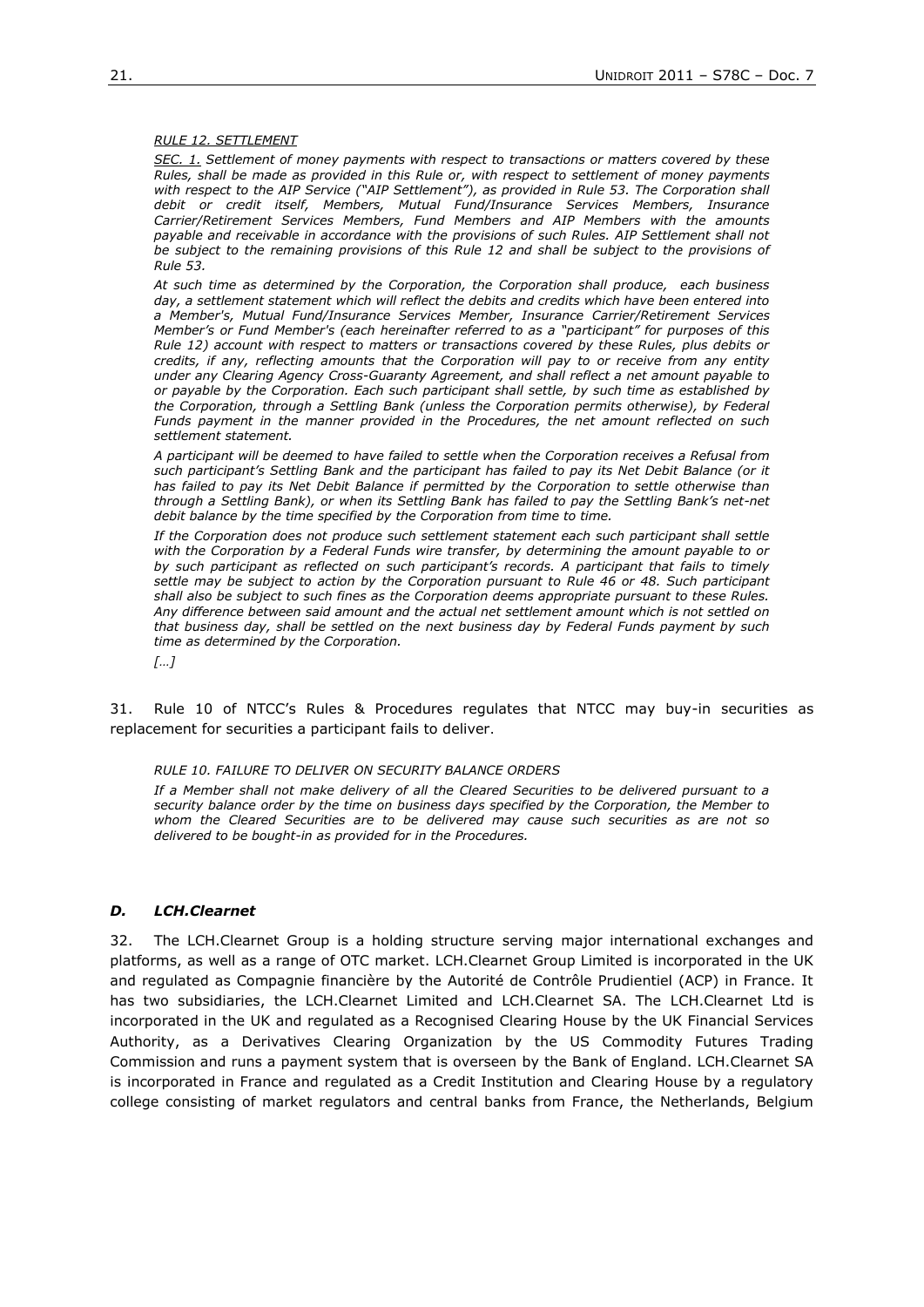### *RULE 12. SETTLEMENT*

*SEC. 1. Settlement of money payments with respect to transactions or matters covered by these Rules, shall be made as provided in this Rule or, with respect to settlement of money payments*  with respect to the AIP Service ("AIP Settlement"), as provided in Rule 53. The Corporation shall *debit or credit itself, Members, Mutual Fund/Insurance Services Members, Insurance Carrier/Retirement Services Members, Fund Members and AIP Members with the amounts payable and receivable in accordance with the provisions of such Rules. AIP Settlement shall not*  be subject to the remaining provisions of this Rule 12 and shall be subject to the provisions of *Rule 53.*

*At such time as determined by the Corporation, the Corporation shall produce, each business day, a settlement statement which will reflect the debits and credits which have been entered into a Member's, Mutual Fund/Insurance Services Member, Insurance Carrier/Retirement Services Member's or Fund Member's (each hereinafter referred to as a "participant" for purposes of this Rule 12) account with respect to matters or transactions covered by these Rules, plus debits or credits, if any, reflecting amounts that the Corporation will pay to or receive from any entity under any Clearing Agency Cross-Guaranty Agreement, and shall reflect a net amount payable to or payable by the Corporation. Each such participant shall settle, by such time as established by the Corporation, through a Settling Bank (unless the Corporation permits otherwise), by Federal Funds payment in the manner provided in the Procedures, the net amount reflected on such settlement statement.*

*A participant will be deemed to have failed to settle when the Corporation receives a Refusal from such participant's Settling Bank and the participant has failed to pay its Net Debit Balance (or it*  has failed to pay its Net Debit Balance if permitted by the Corporation to settle otherwise than *through a Settling Bank), or when its Settling Bank has failed to pay the Settling Bank's net-net debit balance by the time specified by the Corporation from time to time.*

*If the Corporation does not produce such settlement statement each such participant shall settle with the Corporation by a Federal Funds wire transfer, by determining the amount payable to or by such participant as reflected on such participant's records. A participant that fails to timely settle may be subject to action by the Corporation pursuant to Rule 46 or 48. Such participant shall also be subject to such fines as the Corporation deems appropriate pursuant to these Rules. Any difference between said amount and the actual net settlement amount which is not settled on that business day, shall be settled on the next business day by Federal Funds payment by such time as determined by the Corporation.* 

*[…]*

31. Rule 10 of NTCC's Rules & Procedures regulates that NTCC may buy-in securities as replacement for securities a participant fails to deliver.

*RULE 10. FAILURE TO DELIVER ON SECURITY BALANCE ORDERS*

*If a Member shall not make delivery of all the Cleared Securities to be delivered pursuant to a security balance order by the time on business days specified by the Corporation, the Member to whom the Cleared Securities are to be delivered may cause such securities as are not so delivered to be bought-in as provided for in the Procedures.*

## *D. LCH.Clearnet*

32. The LCH.Clearnet Group is a holding structure serving major international exchanges and platforms, as well as a range of OTC market. LCH.Clearnet Group Limited is incorporated in the UK and regulated as Compagnie financière by the Autorité de Contrôle Prudientiel (ACP) in France. It has two subsidiaries, the LCH.Clearnet Limited and LCH.Clearnet SA. The LCH.Clearnet Ltd is incorporated in the UK and regulated as a Recognised Clearing House by the UK Financial Services Authority, as a Derivatives Clearing Organization by the US Commodity Futures Trading Commission and runs a payment system that is overseen by the Bank of England. LCH.Clearnet SA is incorporated in France and regulated as a Credit Institution and Clearing House by a regulatory college consisting of market regulators and central banks from France, the Netherlands, Belgium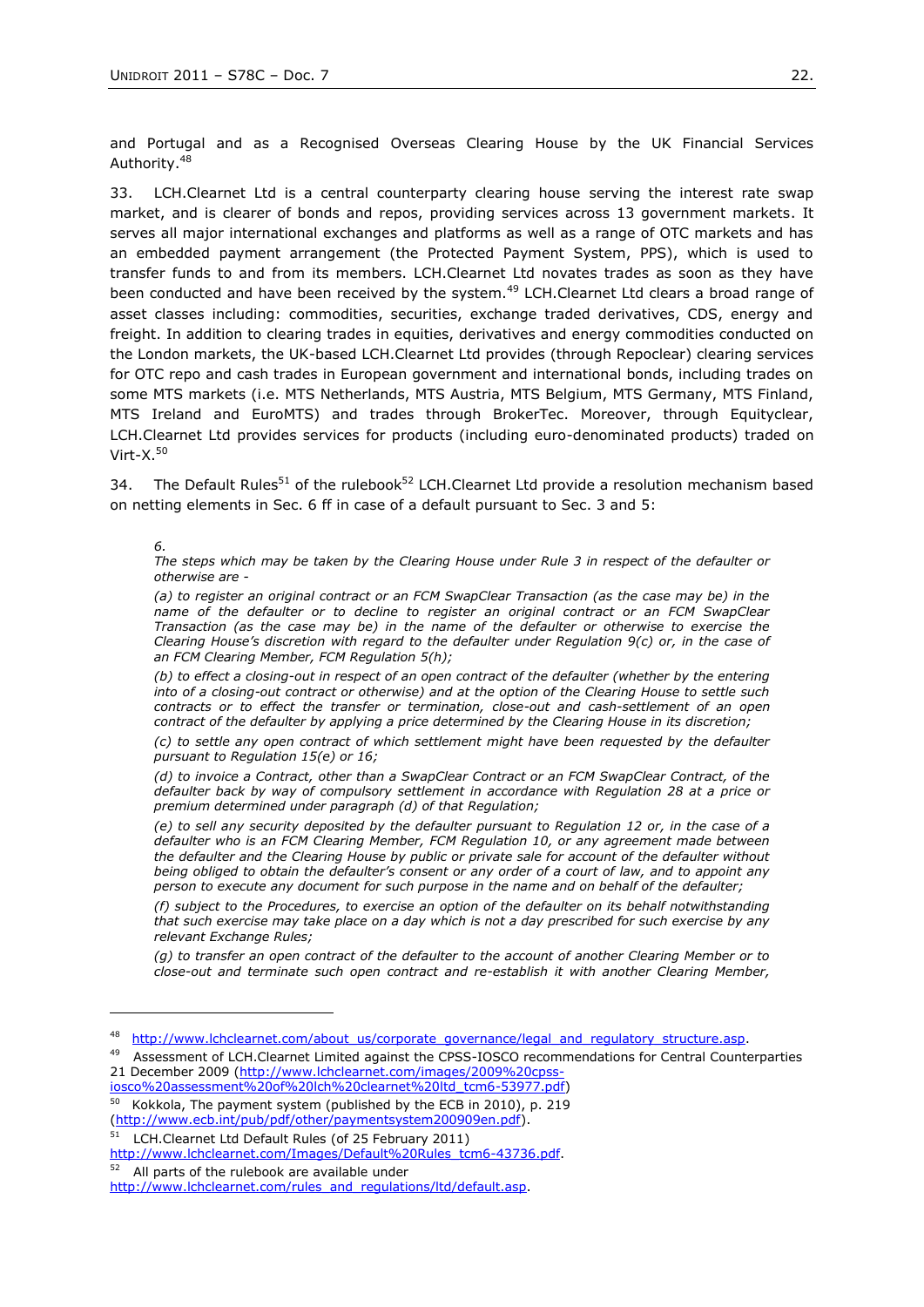and Portugal and as a Recognised Overseas Clearing House by the UK Financial Services Authority.<sup>48</sup>

33. LCH.Clearnet Ltd is a central counterparty clearing house serving the interest rate swap market, and is clearer of bonds and repos, providing services across 13 government markets. It serves all major international exchanges and platforms as well as a range of OTC markets and has an embedded payment arrangement (the Protected Payment System, PPS), which is used to transfer funds to and from its members. LCH.Clearnet Ltd novates trades as soon as they have been conducted and have been received by the system.<sup>49</sup> LCH.Clearnet Ltd clears a broad range of asset classes including: commodities, securities, exchange traded derivatives, CDS, energy and freight. In addition to clearing trades in equities, derivatives and energy commodities conducted on the London markets, the UK-based LCH.Clearnet Ltd provides (through Repoclear) clearing services for OTC repo and cash trades in European government and international bonds, including trades on some MTS markets (i.e. MTS Netherlands, MTS Austria, MTS Belgium, MTS Germany, MTS Finland, MTS Ireland and EuroMTS) and trades through BrokerTec. Moreover, through Equityclear, LCH.Clearnet Ltd provides services for products (including euro-denominated products) traded on Virt- $X<sup>50</sup>$ 

34. The Default Rules<sup>51</sup> of the rulebook<sup>52</sup> LCH.Clearnet Ltd provide a resolution mechanism based on netting elements in Sec. 6 ff in case of a default pursuant to Sec. 3 and 5:

*6.* 

*The steps which may be taken by the Clearing House under Rule 3 in respect of the defaulter or otherwise are -*

*(a) to register an original contract or an FCM SwapClear Transaction (as the case may be) in the name of the defaulter or to decline to register an original contract or an FCM SwapClear Transaction (as the case may be) in the name of the defaulter or otherwise to exercise the Clearing House's discretion with regard to the defaulter under Regulation 9(c) or, in the case of an FCM Clearing Member, FCM Regulation 5(h);*

*(b) to effect a closing-out in respect of an open contract of the defaulter (whether by the entering into of a closing-out contract or otherwise) and at the option of the Clearing House to settle such contracts or to effect the transfer or termination, close-out and cash-settlement of an open contract of the defaulter by applying a price determined by the Clearing House in its discretion;*

*(c) to settle any open contract of which settlement might have been requested by the defaulter pursuant to Regulation 15(e) or 16;*

*(d) to invoice a Contract, other than a SwapClear Contract or an FCM SwapClear Contract, of the defaulter back by way of compulsory settlement in accordance with Regulation 28 at a price or premium determined under paragraph (d) of that Regulation;*

*(e) to sell any security deposited by the defaulter pursuant to Regulation 12 or, in the case of a defaulter who is an FCM Clearing Member, FCM Regulation 10, or any agreement made between the defaulter and the Clearing House by public or private sale for account of the defaulter without being obliged to obtain the defaulter's consent or any order of a court of law, and to appoint any person to execute any document for such purpose in the name and on behalf of the defaulter;*

*(f) subject to the Procedures, to exercise an option of the defaulter on its behalf notwithstanding that such exercise may take place on a day which is not a day prescribed for such exercise by any relevant Exchange Rules;*

*(g) to transfer an open contract of the defaulter to the account of another Clearing Member or to close-out and terminate such open contract and re-establish it with another Clearing Member,* 

[iosco%20assessment%20of%20lch%20clearnet%20ltd\\_tcm6-53977.pdf\)](http://www.lchclearnet.com/images/2009%20cpss-iosco%20assessment%20of%20lch%20clearnet%20ltd_tcm6-53977.pdf)

[\(http://www.ecb.int/pub/pdf/other/paymentsystem200909en.pdf\)](http://www.ecb.int/pub/pdf/other/paymentsystem200909en.pdf). <sup>51</sup> LCH.Clearnet Ltd Default Rules (of 25 February 2011)

[http://www.lchclearnet.com/Images/Default%20Rules\\_tcm6-43736.pdf.](http://www.lchclearnet.com/Images/Default%20Rules_tcm6-43736.pdf)

52 All parts of the rulebook are available under

<sup>48</sup> [http://www.lchclearnet.com/about\\_us/corporate\\_governance/legal\\_and\\_regulatory\\_structure.asp.](http://www.lchclearnet.com/about_us/corporate_governance/legal_and_regulatory_structure.asp)

<sup>49</sup> Assessment of LCH.Clearnet Limited against the CPSS-IOSCO recommendations for Central Counterparties 21 December 2009 [\(http://www.lchclearnet.com/images/2009%20cpss-](http://www.lchclearnet.com/images/2009%20cpss-iosco%20assessment%20of%20lch%20clearnet%20ltd_tcm6-53977.pdf)

<sup>50</sup> Kokkola, The payment system (published by the ECB in 2010), p. 219

[http://www.lchclearnet.com/rules\\_and\\_regulations/ltd/default.asp.](http://www.lchclearnet.com/rules_and_regulations/ltd/default.asp)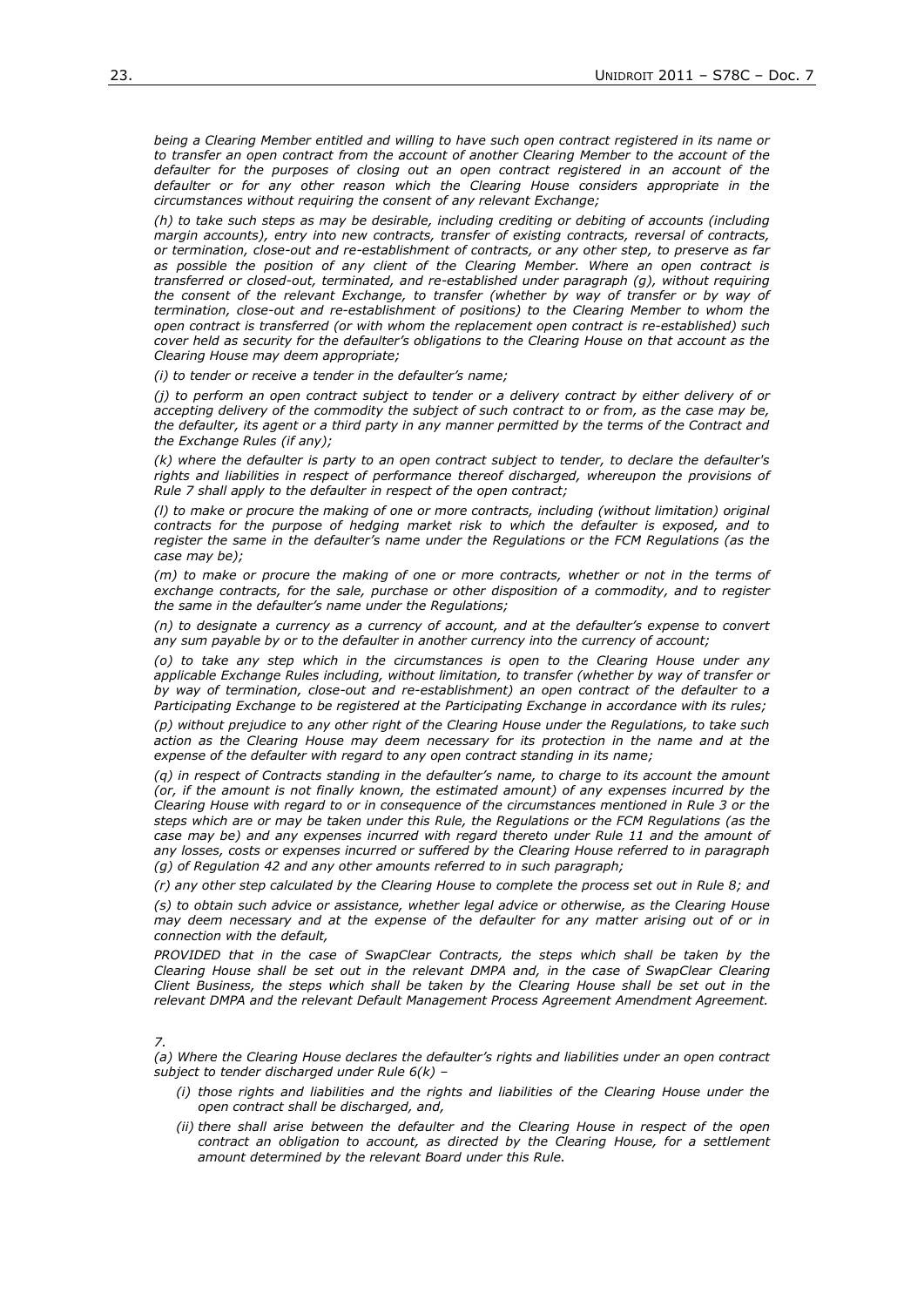*being a Clearing Member entitled and willing to have such open contract registered in its name or*  to transfer an open contract from the account of another Clearing Member to the account of the *defaulter for the purposes of closing out an open contract registered in an account of the defaulter or for any other reason which the Clearing House considers appropriate in the circumstances without requiring the consent of any relevant Exchange;*

*(h) to take such steps as may be desirable, including crediting or debiting of accounts (including margin accounts), entry into new contracts, transfer of existing contracts, reversal of contracts, or termination, close-out and re-establishment of contracts, or any other step, to preserve as far as possible the position of any client of the Clearing Member. Where an open contract is transferred or closed-out, terminated, and re-established under paragraph (g), without requiring*  the consent of the relevant Exchange, to transfer (whether by way of transfer or by way of *termination, close-out and re-establishment of positions) to the Clearing Member to whom the open contract is transferred (or with whom the replacement open contract is re-established) such cover held as security for the defaulter's obligations to the Clearing House on that account as the Clearing House may deem appropriate;*

*(i) to tender or receive a tender in the defaulter's name;*

*(j) to perform an open contract subject to tender or a delivery contract by either delivery of or accepting delivery of the commodity the subject of such contract to or from, as the case may be, the defaulter, its agent or a third party in any manner permitted by the terms of the Contract and the Exchange Rules (if any);*

*(k) where the defaulter is party to an open contract subject to tender, to declare the defaulter's rights and liabilities in respect of performance thereof discharged, whereupon the provisions of Rule 7 shall apply to the defaulter in respect of the open contract;*

*(l) to make or procure the making of one or more contracts, including (without limitation) original contracts for the purpose of hedging market risk to which the defaulter is exposed, and to register the same in the defaulter's name under the Regulations or the FCM Regulations (as the case may be);*

*(m) to make or procure the making of one or more contracts, whether or not in the terms of exchange contracts, for the sale, purchase or other disposition of a commodity, and to register the same in the defaulter's name under the Regulations;*

*(n) to designate a currency as a currency of account, and at the defaulter's expense to convert any sum payable by or to the defaulter in another currency into the currency of account;*

*(o) to take any step which in the circumstances is open to the Clearing House under any applicable Exchange Rules including, without limitation, to transfer (whether by way of transfer or by way of termination, close-out and re-establishment) an open contract of the defaulter to a Participating Exchange to be registered at the Participating Exchange in accordance with its rules;*

*(p) without prejudice to any other right of the Clearing House under the Regulations, to take such action as the Clearing House may deem necessary for its protection in the name and at the expense of the defaulter with regard to any open contract standing in its name;*

*(q) in respect of Contracts standing in the defaulter's name, to charge to its account the amount (or, if the amount is not finally known, the estimated amount) of any expenses incurred by the Clearing House with regard to or in consequence of the circumstances mentioned in Rule 3 or the steps which are or may be taken under this Rule, the Regulations or the FCM Regulations (as the*  case may be) and any expenses incurred with regard thereto under Rule 11 and the amount of *any losses, costs or expenses incurred or suffered by the Clearing House referred to in paragraph (g) of Regulation 42 and any other amounts referred to in such paragraph;*

*(r) any other step calculated by the Clearing House to complete the process set out in Rule 8; and*

*(s) to obtain such advice or assistance, whether legal advice or otherwise, as the Clearing House may deem necessary and at the expense of the defaulter for any matter arising out of or in connection with the default,*

*PROVIDED that in the case of SwapClear Contracts, the steps which shall be taken by the Clearing House shall be set out in the relevant DMPA and, in the case of SwapClear Clearing Client Business, the steps which shall be taken by the Clearing House shall be set out in the relevant DMPA and the relevant Default Management Process Agreement Amendment Agreement.*

*7.* 

*(a) Where the Clearing House declares the defaulter's rights and liabilities under an open contract subject to tender discharged under Rule 6(k) –*

- *(i) those rights and liabilities and the rights and liabilities of the Clearing House under the open contract shall be discharged, and,*
- *(ii) there shall arise between the defaulter and the Clearing House in respect of the open contract an obligation to account, as directed by the Clearing House, for a settlement amount determined by the relevant Board under this Rule.*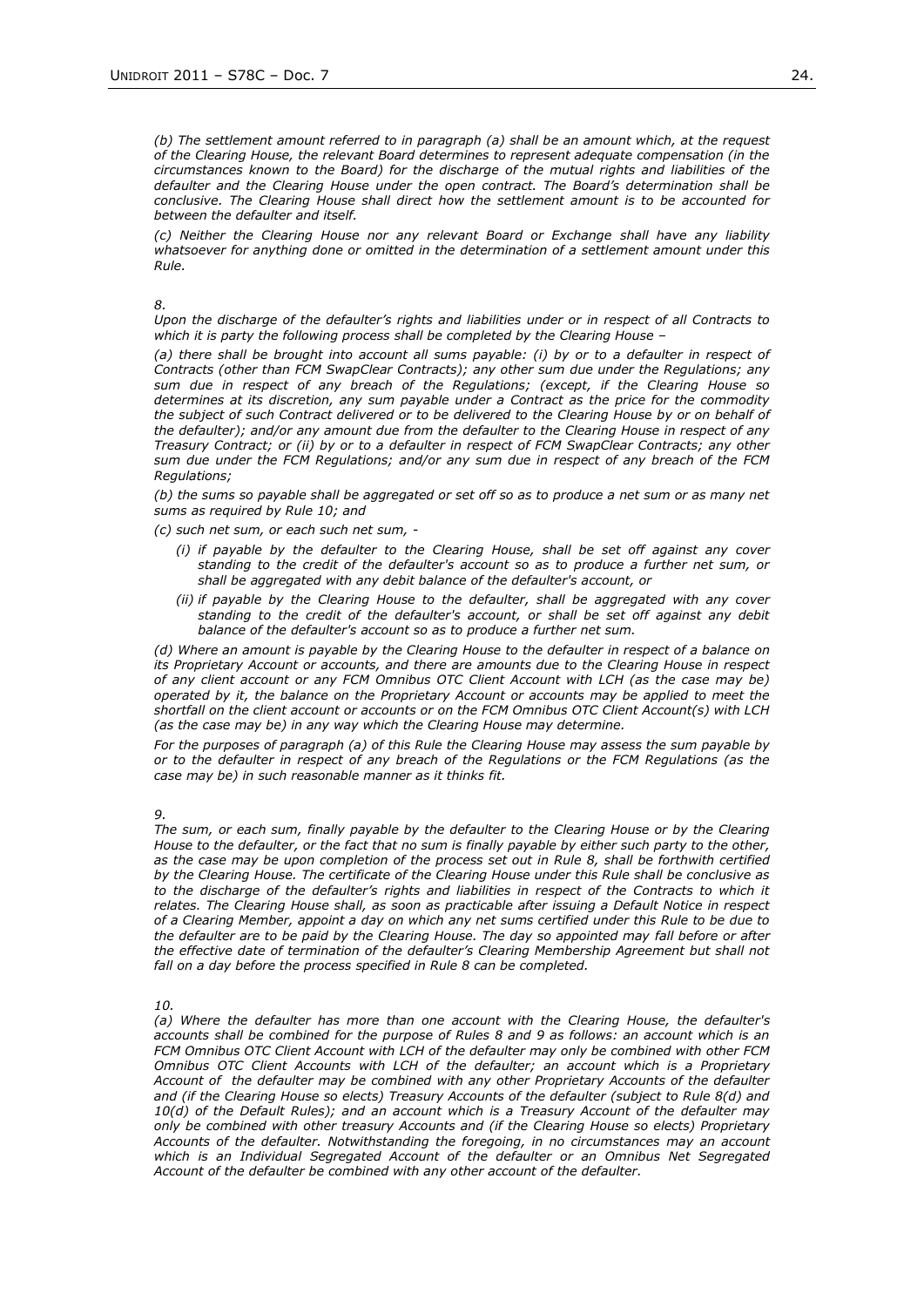*(b) The settlement amount referred to in paragraph (a) shall be an amount which, at the request of the Clearing House, the relevant Board determines to represent adequate compensation (in the circumstances known to the Board) for the discharge of the mutual rights and liabilities of the defaulter and the Clearing House under the open contract. The Board's determination shall be conclusive. The Clearing House shall direct how the settlement amount is to be accounted for between the defaulter and itself.*

*(c) Neither the Clearing House nor any relevant Board or Exchange shall have any liability whatsoever for anything done or omitted in the determination of a settlement amount under this Rule.*

*8.* 

*Upon the discharge of the defaulter's rights and liabilities under or in respect of all Contracts to which it is party the following process shall be completed by the Clearing House –*

*(a) there shall be brought into account all sums payable: (i) by or to a defaulter in respect of Contracts (other than FCM SwapClear Contracts); any other sum due under the Regulations; any sum due in respect of any breach of the Regulations; (except, if the Clearing House so determines at its discretion, any sum payable under a Contract as the price for the commodity the subject of such Contract delivered or to be delivered to the Clearing House by or on behalf of the defaulter); and/or any amount due from the defaulter to the Clearing House in respect of any Treasury Contract; or (ii) by or to a defaulter in respect of FCM SwapClear Contracts; any other sum due under the FCM Regulations; and/or any sum due in respect of any breach of the FCM Regulations;* 

*(b) the sums so payable shall be aggregated or set off so as to produce a net sum or as many net sums as required by Rule 10; and*

*(c) such net sum, or each such net sum, -*

- *(i) if payable by the defaulter to the Clearing House, shall be set off against any cover standing to the credit of the defaulter's account so as to produce a further net sum, or shall be aggregated with any debit balance of the defaulter's account, or*
- *(ii) if payable by the Clearing House to the defaulter, shall be aggregated with any cover standing to the credit of the defaulter's account, or shall be set off against any debit balance of the defaulter's account so as to produce a further net sum.*

*(d) Where an amount is payable by the Clearing House to the defaulter in respect of a balance on its Proprietary Account or accounts, and there are amounts due to the Clearing House in respect of any client account or any FCM Omnibus OTC Client Account with LCH (as the case may be) operated by it, the balance on the Proprietary Account or accounts may be applied to meet the shortfall on the client account or accounts or on the FCM Omnibus OTC Client Account(s) with LCH (as the case may be) in any way which the Clearing House may determine.*

*For the purposes of paragraph (a) of this Rule the Clearing House may assess the sum payable by or to the defaulter in respect of any breach of the Regulations or the FCM Regulations (as the case may be) in such reasonable manner as it thinks fit.*

*9.* 

*The sum, or each sum, finally payable by the defaulter to the Clearing House or by the Clearing House to the defaulter, or the fact that no sum is finally payable by either such party to the other, as the case may be upon completion of the process set out in Rule 8, shall be forthwith certified by the Clearing House. The certificate of the Clearing House under this Rule shall be conclusive as*  to the discharge of the defaulter's rights and liabilities in respect of the Contracts to which it *relates. The Clearing House shall, as soon as practicable after issuing a Default Notice in respect of a Clearing Member, appoint a day on which any net sums certified under this Rule to be due to the defaulter are to be paid by the Clearing House. The day so appointed may fall before or after*  the effective date of termination of the defaulter's Clearing Membership Agreement but shall not *fall on a day before the process specified in Rule 8 can be completed.*

*10.* 

*(a) Where the defaulter has more than one account with the Clearing House, the defaulter's accounts shall be combined for the purpose of Rules 8 and 9 as follows: an account which is an FCM Omnibus OTC Client Account with LCH of the defaulter may only be combined with other FCM Omnibus OTC Client Accounts with LCH of the defaulter; an account which is a Proprietary Account of the defaulter may be combined with any other Proprietary Accounts of the defaulter and (if the Clearing House so elects) Treasury Accounts of the defaulter (subject to Rule 8(d) and 10(d) of the Default Rules); and an account which is a Treasury Account of the defaulter may only be combined with other treasury Accounts and (if the Clearing House so elects) Proprietary Accounts of the defaulter. Notwithstanding the foregoing, in no circumstances may an account which is an Individual Segregated Account of the defaulter or an Omnibus Net Segregated Account of the defaulter be combined with any other account of the defaulter.*